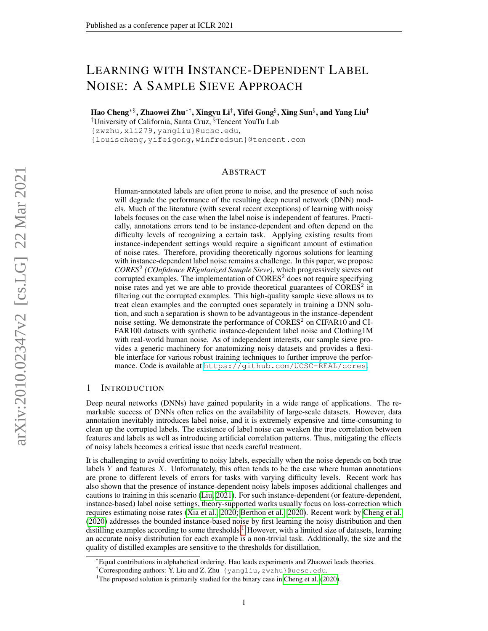# LEARNING WITH INSTANCE-DEPENDENT LABEL NOISE: A SAMPLE SIEVE APPROACH

Hao Cheng∗ §, Zhaowei Zhu∗†, Xingyu Li† , Yifei Gong§ , Xing Sun§ , and Yang Liu† †University of California, Santa Cruz, §Tencent YouTu Lab

{zwzhu,xli279,yangliu}@ucsc.edu,

{louischeng,yifeigong,winfredsun}@tencent.com

## ABSTRACT

Human-annotated labels are often prone to noise, and the presence of such noise will degrade the performance of the resulting deep neural network (DNN) models. Much of the literature (with several recent exceptions) of learning with noisy labels focuses on the case when the label noise is independent of features. Practically, annotations errors tend to be instance-dependent and often depend on the difficulty levels of recognizing a certain task. Applying existing results from instance-independent settings would require a significant amount of estimation of noise rates. Therefore, providing theoretically rigorous solutions for learning with instance-dependent label noise remains a challenge. In this paper, we propose *CORES*<sup>2</sup> *(COnfidence REgularized Sample Sieve)*, which progressively sieves out corrupted examples. The implementation of  $\text{CORES}^2$  does not require specifying noise rates and yet we are able to provide theoretical guarantees of CORES<sup>2</sup> in filtering out the corrupted examples. This high-quality sample sieve allows us to treat clean examples and the corrupted ones separately in training a DNN solution, and such a separation is shown to be advantageous in the instance-dependent noise setting. We demonstrate the performance of CORES<sup>2</sup> on CIFAR10 and CI-FAR100 datasets with synthetic instance-dependent label noise and Clothing1M with real-world human noise. As of independent interests, our sample sieve provides a generic machinery for anatomizing noisy datasets and provides a flexible interface for various robust training techniques to further improve the performance. Code is available at <https://github.com/UCSC-REAL/cores>.

# 1 INTRODUCTION

Deep neural networks (DNNs) have gained popularity in a wide range of applications. The remarkable success of DNNs often relies on the availability of large-scale datasets. However, data annotation inevitably introduces label noise, and it is extremely expensive and time-consuming to clean up the corrupted labels. The existence of label noise can weaken the true correlation between features and labels as well as introducing artificial correlation patterns. Thus, mitigating the effects of noisy labels becomes a critical issue that needs careful treatment.

It is challenging to avoid overfitting to noisy labels, especially when the noise depends on both true labels  $Y$  and features  $X$ . Unfortunately, this often tends to be the case where human annotations are prone to different levels of errors for tasks with varying difficulty levels. Recent work has also shown that the presence of instance-dependent noisy labels imposes additional challenges and cautions to training in this scenario [\(Liu, 2021\)](#page-10-0). For such instance-dependent (or feature-dependent, instance-based) label noise settings, theory-supported works usually focus on loss-correction which requires estimating noise rates [\(Xia et al., 2020;](#page-11-0) [Berthon et al., 2020\)](#page-9-0). Recent work by [Cheng et al.](#page-9-1) [\(2020\)](#page-9-1) addresses the bounded instance-based noise by first learning the noisy distribution and then distilling examples according to some thresholds.<sup>[1](#page-0-0)</sup> However, with a limited size of datasets, learning an accurate noisy distribution for each example is a non-trivial task. Additionally, the size and the quality of distilled examples are sensitive to the thresholds for distillation.

<sup>∗</sup>Equal contributions in alphabetical ordering. Hao leads experiments and Zhaowei leads theories.

<sup>†</sup>Corresponding authors: Y. Liu and Z. Zhu {yangliu,zwzhu}@ucsc.edu.

<span id="page-0-0"></span><sup>&</sup>lt;sup>1</sup>The proposed solution is primarily studied for the binary case in [Cheng et al.](#page-9-1)  $(2020)$ .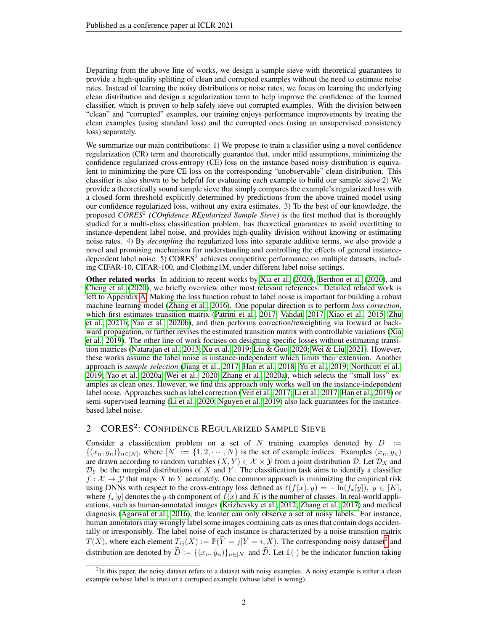Departing from the above line of works, we design a sample sieve with theoretical guarantees to provide a high-quality splitting of clean and corrupted examples without the need to estimate noise rates. Instead of learning the noisy distributions or noise rates, we focus on learning the underlying clean distribution and design a regularization term to help improve the confidence of the learned classifier, which is proven to help safely sieve out corrupted examples. With the division between "clean" and "corrupted" examples, our training enjoys performance improvements by treating the clean examples (using standard loss) and the corrupted ones (using an unsupervised consistency loss) separately.

We summarize our main contributions: 1) We propose to train a classifier using a novel confidence regularization (CR) term and theoretically guarantee that, under mild assumptions, minimizing the confidence regularized cross-entropy (CE) loss on the instance-based noisy distribution is equivalent to minimizing the pure CE loss on the corresponding "unobservable" clean distribution. This classifier is also shown to be helpful for evaluating each example to build our sample sieve.2) We provide a theoretically sound sample sieve that simply compares the example's regularized loss with a closed-form threshold explicitly determined by predictions from the above trained model using our confidence regularized loss, without any extra estimates. 3) To the best of our knowledge, the proposed *CORES*<sup>2</sup> (*COnfidence REgularized Sample Sieve*) is the first method that is thoroughly studied for a multi-class classification problem, has theoretical guarantees to avoid overfitting to instance-dependent label noise, and provides high-quality division without knowing or estimating noise rates. 4) By *decoupling* the regularized loss into separate additive terms, we also provide a novel and promising mechanism for understanding and controlling the effects of general instancedependent label noise. 5) CORES<sup>2</sup> achieves competitive performance on multiple datasets, including CIFAR-10, CIFAR-100, and Clothing1M, under different label noise settings.

Other related works In addition to recent works by [Xia et al.](#page-11-0) [\(2020\)](#page-11-0), [Berthon et al.](#page-9-0) [\(2020\)](#page-9-0), and [Cheng et al.](#page-9-1) [\(2020\)](#page-9-1), we briefly overview other most relevant references. Detailed related work is left to Appendix [A.](#page-13-0) Making the loss function robust to label noise is important for building a robust machine learning model [\(Zhang et al., 2016\)](#page-11-1). One popular direction is to perform *loss correction*, which first estimates transition matrix [\(Patrini et al., 2017;](#page-10-1) [Vahdat, 2017;](#page-10-2) [Xiao et al., 2015;](#page-11-2) [Zhu](#page-12-0) [et al., 2021b;](#page-12-0) [Yao et al., 2020b\)](#page-11-3), and then performs correction/reweighting via forward or backward propagation, or further revises the estimated transition matrix with controllable variations [\(Xia](#page-11-4) [et al., 2019\)](#page-11-4). The other line of work focuses on designing specific losses without estimating transition matrices [\(Natarajan et al., 2013;](#page-10-3) [Xu et al., 2019;](#page-11-5) [Liu & Guo, 2020;](#page-10-4) [Wei & Liu, 2021\)](#page-11-6). However, these works assume the label noise is instance-independent which limits their extension. Another approach is *sample selection* [\(Jiang et al., 2017;](#page-9-2) [Han et al., 2018;](#page-9-3) [Yu et al., 2019;](#page-11-7) [Northcutt et al.,](#page-10-5) [2019;](#page-10-5) [Yao et al., 2020a;](#page-11-8) [Wei et al., 2020;](#page-11-9) [Zhang et al., 2020a\)](#page-11-10), which selects the "small loss" examples as clean ones. However, we find this approach only works well on the instance-independent label noise. Approaches such as label correction [\(Veit et al., 2017;](#page-11-11) [Li et al., 2017;](#page-10-6) [Han et al., 2019\)](#page-9-4) or semi-supervised learning [\(Li et al., 2020;](#page-10-7) [Nguyen et al., 2019\)](#page-10-8) also lack guarantees for the instancebased label noise.

# 2 CORES<sup>2</sup>: CONFIDENCE REGULARIZED SAMPLE SIEVE

Consider a classification problem on a set of N training examples denoted by  $D :=$  $\{(x_n, y_n)\}_{n \in [N]}$ , where  $[N] := \{1, 2, \cdots, N\}$  is the set of example indices. Examples  $(x_n, y_n)$ are drawn according to random variables  $(X, Y) \in \mathcal{X} \times \mathcal{Y}$  from a joint distribution  $\mathcal{D}$ . Let  $\mathcal{D}_X$  and  $\mathcal{D}_Y$  be the marginal distributions of X and Y. The classification task aims to identify a classifier  $f: \mathcal{X} \to \mathcal{Y}$  that maps X to Y accurately. One common approach is minimizing the empirical risk using DNNs with respect to the cross-entropy loss defined as  $\ell(f(x), y) = -\ln(f_x[y])$ ,  $y \in [K]$ , where  $f_x[y]$  denotes the y-th component of  $f(x)$  and K is the number of classes. In real-world applications, such as human-annotated images [\(Krizhevsky et al., 2012;](#page-10-9) [Zhang et al., 2017\)](#page-11-12) and medical diagnosis [\(Agarwal et al., 2016\)](#page-9-5), the learner can only observe a set of noisy labels. For instance, human annotators may wrongly label some images containing cats as ones that contain dogs accidentally or irresponsibly. The label noise of each instance is characterized by a noise transition matrix  $T(X)$ , where each element  $T_{ij}(X) := \mathbb{P}(\widetilde{Y} = j | Y = i, X)$ . The corresponding noisy dataset<sup>[2](#page-1-0)</sup> and distribution are denoted by  $\widetilde{D} := \{(x_n, \widetilde{y}_n)\}_{n \in [N]}$  and  $\widetilde{D}$ . Let  $\mathbb{1}(\cdot)$  be the indicator function taking

<span id="page-1-0"></span><sup>&</sup>lt;sup>2</sup>In this paper, the noisy dataset refers to a dataset with noisy examples. A noisy example is either a clean example (whose label is true) or a corrupted example (whose label is wrong).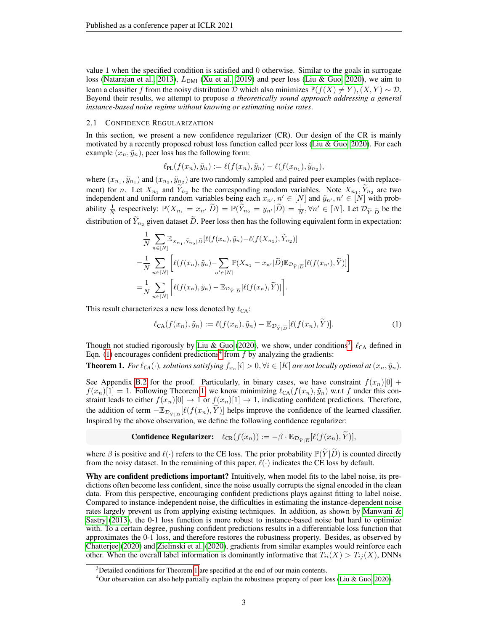value 1 when the specified condition is satisfied and 0 otherwise. Similar to the goals in surrogate loss [\(Natarajan et al., 2013\)](#page-10-3),  $L_{DMI}$  [\(Xu et al., 2019\)](#page-11-5) and peer loss [\(Liu & Guo, 2020\)](#page-10-4), we aim to learn a classifier f from the noisy distribution D which also minimizes  $\mathbb{P}(f(X) \neq Y)$ ,  $(X, Y) \sim \mathcal{D}$ . Beyond their results, we attempt to propose *a theoretically sound approach addressing a general instance-based noise regime without knowing or estimating noise rates*.

### <span id="page-2-4"></span>2.1 CONFIDENCE REGULARIZATION

In this section, we present a new confidence regularizer (CR). Our design of the CR is mainly motivated by a recently proposed robust loss function called peer loss [\(Liu & Guo, 2020\)](#page-10-4). For each example  $(x_n, \tilde{y}_n)$ , peer loss has the following form:

$$
\ell_{\text{PL}}(f(x_n), \tilde{y}_n) := \ell(f(x_n), \tilde{y}_n) - \ell(f(x_{n_1}), \tilde{y}_{n_2}),
$$

where  $(x_{n_1}, \tilde{y}_{n_1})$  and  $(x_{n_2}, \tilde{y}_{n_2})$  are two randomly sampled and paired peer examples (with replacement) for n. Let  $X_{n_1}$  and  $Y_{n_2}$  be the corresponding random variables. Note  $X_{n_1}, Y_{n_2}$  are two independent and uniform random variables being each  $x_{n'}$ ,  $n' \in [N]$  and  $\tilde{y}_{n'}$ ,  $n' \in [N]$  with probability  $\frac{1}{N}$  respectively:  $\mathbb{P}(X_{n_1} = x_{n'}|\tilde{D}) = \mathbb{P}(\tilde{Y}_{n_2} = y_{n'}|\tilde{D}) = \frac{1}{N}, \forall n' \in [N]$ . Let  $\mathcal{D}_{\tilde{Y}|\tilde{D}}$  be the distribution of  $\widetilde{Y}_{n_2}$  given dataset  $\widetilde{D}$ . Peer loss then has the following equivalent form in expectation:

$$
\frac{1}{N} \sum_{n \in [N]} \mathbb{E}_{X_{n_1}, \tilde{Y}_{n_2} | \tilde{D}} [\ell(f(x_n), \tilde{y}_n) - \ell(f(X_{n_1}), \tilde{Y}_{n_2})]
$$
\n
$$
= \frac{1}{N} \sum_{n \in [N]} \left[ \ell(f(x_n), \tilde{y}_n) - \sum_{n' \in [N]} \mathbb{P}(X_{n_1} = x_{n'} | \tilde{D}) \mathbb{E}_{\mathcal{D}_{\tilde{Y} | \tilde{D}}} [\ell(f(x_{n'}), \tilde{Y})] \right]
$$
\n
$$
= \frac{1}{N} \sum_{n \in [N]} \left[ \ell(f(x_n), \tilde{y}_n) - \mathbb{E}_{\mathcal{D}_{\tilde{Y} | \tilde{D}}} [\ell(f(x_n), \tilde{Y})] \right].
$$

This result characterizes a new loss denoted by  $\ell_{CA}$ :

<span id="page-2-1"></span>
$$
\ell_{\text{CA}}(f(x_n), \tilde{y}_n) := \ell(f(x_n), \tilde{y}_n) - \mathbb{E}_{\mathcal{D}_{\tilde{Y}|\widetilde{D}}}[\ell(f(x_n), \widetilde{Y})].\tag{1}
$$

Though not studied rigorously by [Liu & Guo](#page-10-4) [\(2020\)](#page-10-4), we show, under conditions<sup>[3](#page-2-0)</sup>,  $\ell_{CA}$  defined in Eqn. [\(1\)](#page-2-1) encourages confident predictions<sup>[4](#page-2-2)</sup> from f by analyzing the gradients:

<span id="page-2-3"></span>**Theorem 1.** For  $\ell_{CA}(\cdot)$ , solutions satisfying  $f_{x_n}[i] > 0, \forall i \in [K]$  are not locally optimal at  $(x_n, \tilde{y}_n)$ .

See Appendix [B.2](#page-15-0) for the proof. Particularly, in binary cases, we have constraint  $f(x_n)[0]$  +  $f(x_n)[1] = 1$ . Following Theorem [1,](#page-2-3) we know minimizing  $\ell_{CA}(f(x_n), \tilde{y}_n)$  w.r.t f under this constraint leads to either  $f(x_n)[0] \to 1$  or  $f(x_n)[1] \to 1$ , indicating confident predictions. Therefore, the addition of term  $-\mathbb{E}_{\mathcal{D}_{\tilde{Y}|\tilde{D}}}[\ell(f(x_n), Y)]$  helps improve the confidence of the learned classifier. Inspired by the above observation, we define the following confidence regularizer:

**Confidence Regularizer:** 
$$
\ell_{CR}(f(x_n)) := -\beta \cdot \mathbb{E}_{\mathcal{D}_{\tilde{Y}|\widetilde{D}}}[\ell(f(x_n), \widetilde{Y})],
$$

where  $\beta$  is positive and  $\ell(\cdot)$  refers to the CE loss. The prior probability  $\mathbb{P}(Y|D)$  is counted directly from the noisy dataset. In the remaining of this paper,  $\ell(\cdot)$  indicates the CE loss by default.

Why are confident predictions important? Intuitively, when model fits to the label noise, its predictions often become less confident, since the noise usually corrupts the signal encoded in the clean data. From this perspective, encouraging confident predictions plays against fitting to label noise. Compared to instance-independent noise, the difficulties in estimating the instance-dependent noise rates largely prevent us from applying existing techniques. In addition, as shown by [Manwani &](#page-10-10) [Sastry](#page-10-10) [\(2013\)](#page-10-10), the 0-1 loss function is more robust to instance-based noise but hard to optimize with. To a certain degree, pushing confident predictions results in a differentiable loss function that approximates the 0-1 loss, and therefore restores the robustness property. Besides, as observed by [Chatterjee](#page-9-6) [\(2020\)](#page-9-6) and [Zielinski et al.](#page-12-1) [\(2020\)](#page-12-1), gradients from similar examples would reinforce each other. When the overall label information is dominantly informative that  $T_{ii}(X) > T_{ij}(X)$ , DNNs

<span id="page-2-0"></span><sup>&</sup>lt;sup>3</sup>Detailed conditions for Theorem [1](#page-2-3) are specified at the end of our main contents.

<span id="page-2-2"></span><sup>4</sup>Our observation can also help partially explain the robustness property of peer loss [\(Liu & Guo, 2020\)](#page-10-4).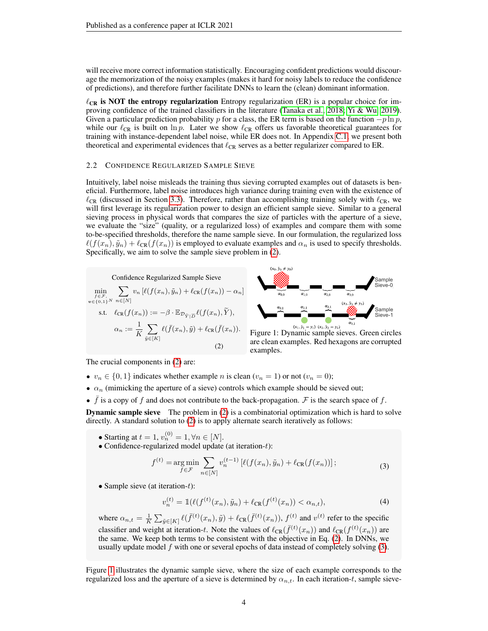will receive more correct information statistically. Encouraging confident predictions would discourage the memorization of the noisy examples (makes it hard for noisy labels to reduce the confidence of predictions), and therefore further facilitate DNNs to learn the (clean) dominant information.

 $\ell_{CR}$  is NOT the entropy regularization Entropy regularization (ER) is a popular choice for improving confidence of the trained classifiers in the literature [\(Tanaka et al., 2018;](#page-10-11) [Yi & Wu, 2019\)](#page-11-13). Given a particular prediction probability p for a class, the ER term is based on the function  $-p \ln p$ , while our  $\ell_{CR}$  is built on ln p. Later we show  $\ell_{CR}$  offers us favorable theoretical guarantees for training with instance-dependent label noise, while ER does not. In Appendix [C.1,](#page-20-0) we present both theoretical and experimental evidences that  $\ell_{CR}$  serves as a better regularizer compared to ER.

### 2.2 CONFIDENCE REGULARIZED SAMPLE SIEVE

Intuitively, label noise misleads the training thus sieving corrupted examples out of datasets is beneficial. Furthermore, label noise introduces high variance during training even with the existence of  $\ell_{CR}$  (discussed in Section [3.3\)](#page-6-0). Therefore, rather than accomplishing training solely with  $\ell_{CR}$ , we will first leverage its regularization power to design an efficient sample sieve. Similar to a general sieving process in physical words that compares the size of particles with the aperture of a sieve, we evaluate the "size" (quality, or a regularized loss) of examples and compare them with some to-be-specified thresholds, therefore the name sample sieve. In our formulation, the regularized loss  $\ell(f(x_n), \tilde{y}_n) + \ell_{CR}(f(x_n))$  is employed to evaluate examples and  $\alpha_n$  is used to specify thresholds. Specifically, we aim to solve the sample sieve problem in [\(2\)](#page-3-0).

<span id="page-3-2"></span><span id="page-3-0"></span>



Figure 1: Dynamic sample sieves. Green circles are clean examples. Red hexagons are corrupted examples.

The crucial components in [\(2\)](#page-3-0) are:

- $v_n \in \{0, 1\}$  indicates whether example *n* is clean  $(v_n = 1)$  or not  $(v_n = 0)$ ;
- $\alpha_n$  (mimicking the aperture of a sieve) controls which example should be sieved out;
- $\bar{f}$  is a copy of f and does not contribute to the back-propagation.  $\bar{F}$  is the search space of f.

**Dynamic sample sieve** The problem in [\(2\)](#page-3-0) is a combinatorial optimization which is hard to solve directly. A standard solution to [\(2\)](#page-3-0) is to apply alternate search iteratively as follows:

- Starting at  $t = 1$ ,  $v_n^{(0)} = 1$ ,  $\forall n \in [N]$ .
- <span id="page-3-1"></span>• Confidence-regularized model update (at iteration-t):

$$
f^{(t)} = \underset{f \in \mathcal{F}}{\arg \min} \sum_{n \in [N]} v_n^{(t-1)} \left[ \ell(f(x_n), \tilde{y}_n) + \ell_{CR}(f(x_n)) \right];\tag{3}
$$

<span id="page-3-3"></span>• Sample sieve (at iteration- $t$ ):

$$
v_n^{(t)} = \mathbb{1}(\ell(f^{(t)}(x_n), \tilde{y}_n) + \ell_{CR}(f^{(t)}(x_n)) < \alpha_{n,t}),\tag{4}
$$

where  $\alpha_{n,t} = \frac{1}{K} \sum_{\tilde{y} \in [K]} \ell(\bar{f}^{(t)}(x_n), \tilde{y}) + \ell_{CR}(\bar{f}^{(t)}(x_n)), f^{(t)}$  and  $v^{(t)}$  refer to the specific classifier and weight at iteration-t. Note the values of  $\ell_{CR}(\bar{f}^{(t)}(x_n))$  and  $\ell_{CR}(f^{(t)}(x_n))$  are the same. We keep both terms to be consistent with the objective in Eq. [\(2\)](#page-3-0). In DNNs, we usually update model  $f$  with one or several epochs of data instead of completely solving  $(3)$ .

Figure [1](#page-3-2) illustrates the dynamic sample sieve, where the size of each example corresponds to the regularized loss and the aperture of a sieve is determined by  $\alpha_{n,t}$ . In each iteration-t, sample sieve-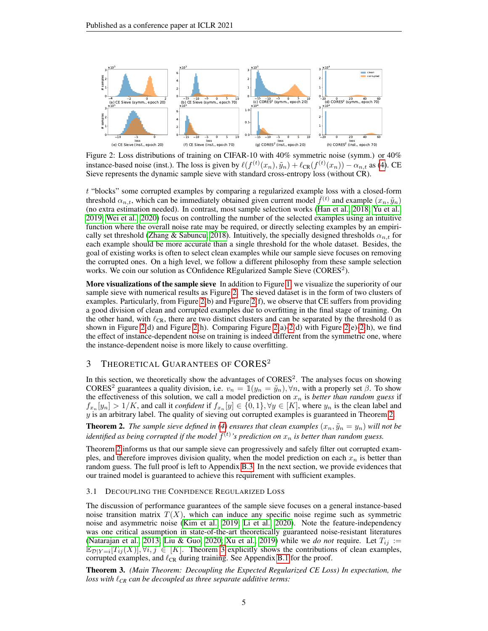<span id="page-4-0"></span>

Figure 2: Loss distributions of training on CIFAR-10 with 40% symmetric noise (symm.) or 40% instance-based noise (inst.). The loss is given by  $\ell(f^{(t)}(x_n), \tilde{y}_n) + \ell_{CR}(f^{(t)}(x_n)) - \alpha_{n,t}$  as [\(4\)](#page-3-3). CE Sieve represents the dynamic sample sieve with standard cross-entropy loss (without CR).

t "blocks" some corrupted examples by comparing a regularized example loss with a closed-form threshold  $\alpha_{n,t}$ , which can be immediately obtained given current model  $\bar{f}^{(t)}$  and example  $(x_n, \tilde{y}_n)$ (no extra estimation needed). In contrast, most sample selection works [\(Han et al., 2018;](#page-9-3) [Yu et al.,](#page-11-7) [2019;](#page-11-7) [Wei et al., 2020\)](#page-11-9) focus on controlling the number of the selected examples using an intuitive function where the overall noise rate may be required, or directly selecting examples by an empiri-cally set threshold [\(Zhang & Sabuncu, 2018\)](#page-12-2). Intuitively, the specially designed thresholds  $\alpha_{n,t}$  for each example should be more accurate than a single threshold for the whole dataset. Besides, the goal of existing works is often to select clean examples while our sample sieve focuses on removing the corrupted ones. On a high level, we follow a different philosophy from these sample selection works. We coin our solution as COnfidence REgularized Sample Sieve (CORES<sup>2</sup>).

More visualizations of the sample sieve In addition to Figure [1,](#page-3-2) we visualize the superiority of our sample sieve with numerical results as Figure [2.](#page-4-0) The sieved dataset is in the form of two clusters of examples. Particularly, from Figure [2\(](#page-4-0)b) and Figure [2\(](#page-4-0)f), we observe that CE suffers from providing a good division of clean and corrupted examples due to overfitting in the final stage of training. On the other hand, with  $\ell_{CR}$ , there are two distinct clusters and can be separated by the threshold 0 as shown in Figure [2\(](#page-4-0)d) and Figure 2(h). Comparing Figure 2(a)[-2\(](#page-4-0)d) with Figure 2(e)-2(h), we find the effect of instance-dependent noise on training is indeed different from the symmetric one, where the instance-dependent noise is more likely to cause overfitting.

# 3 THEORETICAL GUARANTEES OF CORES<sup>2</sup>

In this section, we theoretically show the advantages of  $CORES<sup>2</sup>$ . The analyses focus on showing CORES<sup>2</sup> guarantees a quality division, i.e.  $v_n = \mathbb{1}(y_n = \tilde{y}_n), \forall n$ , with a properly set  $\beta$ . To show the effectiveness of this solution, we call a model prediction on  $x_n$  is *better than random guess* if  $f_{x_n}[y_n] > 1/K$ , and call it *confident* if  $f_{x_n}[y] \in \{0,1\}$ ,  $\forall y \in [K]$ , where  $y_n$  is the clean label and  $y$  is an arbitrary label. The quality of sieving out corrupted examples is guaranteed in Theorem [2.](#page-4-1)

<span id="page-4-1"></span>**Theorem 2.** *The sample sieve defined in [\(4\)](#page-3-3) ensures that clean examples*  $(x_n, \tilde{y}_n = y_n)$  *will not be* identified as being corrupted if the model  $f^{(t)}$ 's prediction on  $x_n$  is better than random guess.

Theorem [2](#page-4-1) informs us that our sample sieve can progressively and safely filter out corrupted examples, and therefore improves division quality, when the model prediction on each  $x_n$  is better than random guess. The full proof is left to Appendix [B.3.](#page-18-0) In the next section, we provide evidences that our trained model is guaranteed to achieve this requirement with sufficient examples.

### 3.1 DECOUPLING THE CONFIDENCE REGULARIZED LOSS

The discussion of performance guarantees of the sample sieve focuses on a general instance-based noise transition matrix  $T(X)$ , which can induce any specific noise regime such as symmetric noise and asymmetric noise [\(Kim et al., 2019;](#page-9-7) [Li et al., 2020\)](#page-10-7). Note the feature-independency was one critical assumption in state-of-the-art theoretically guaranteed noise-resistant literatures [\(Natarajan et al., 2013;](#page-10-3) [Liu & Guo, 2020;](#page-10-4) [Xu et al., 2019\)](#page-11-5) while we *do not* require. Let  $T_{ij}$  :=  $\mathbb{E}_{\mathcal{D}|Y=i}[T_{ij}(X)], \forall i, j \in [K].$  Theorem [3](#page-4-2) explicitly shows the contributions of clean examples, corrupted examples, and  $\ell_{CR}$  during training. See Appendix [B.1](#page-14-0) for the proof.

<span id="page-4-2"></span>Theorem 3. *(Main Theorem: Decoupling the Expected Regularized CE Loss) In expectation, the loss with*  $\ell_{CR}$  *can be decoupled as three separate additive terms:*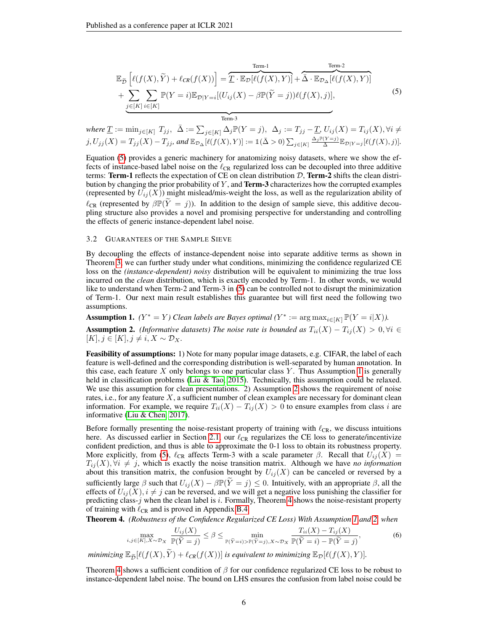$$
\mathbb{E}_{\tilde{\mathcal{D}}}\left[\ell(f(X), \tilde{Y}) + \ell_{CR}(f(X))\right] = \underbrace{\overbrace{T \cdot \mathbb{E}_{\mathcal{D}}[\ell(f(X), Y)]}}_{\text{Term-3}} + \underbrace{\overbrace{\sum_{j \in [K]} \sum_{i \in [K]} \mathbb{P}(Y = i) \mathbb{E}_{\mathcal{D}|Y = i}[(U_{ij}(X) - \beta \mathbb{P}(\tilde{Y} = j))\ell(f(X), j)]}}_{\text{Term-3}}, \tag{5}
$$

<span id="page-5-0"></span>where 
$$
\underline{T} := \min_{j \in [K]} T_{jj}, \quad \bar{\Delta} := \sum_{j \in [K]} \Delta_j \mathbb{P}(Y = j), \quad \Delta_j := T_{jj} - \underline{T}, U_{ij}(X) = T_{ij}(X), \forall i \neq j, U_{jj}(X) = T_{jj}(X) - T_{jj}, \text{ and } \mathbb{E}_{\mathcal{D}_{\Delta}}[\ell(f(X), Y)] := \mathbb{1}(\bar{\Delta} > 0) \sum_{j \in [K]} \frac{\Delta_j \mathbb{P}(Y = j)}{\bar{\Delta}} \mathbb{E}_{\mathcal{D}|Y = j}[\ell(f(X), j)].
$$

Equation [\(5\)](#page-5-0) provides a generic machinery for anatomizing noisy datasets, where we show the effects of instance-based label noise on the  $\ell_{CR}$  regularized loss can be decoupled into three additive terms: Term-1 reflects the expectation of CE on clean distribution  $D$ , Term-2 shifts the clean distribution by changing the prior probability of  $Y$ , and **Term-3** characterizes how the corrupted examples (represented by  $U_{ij}(X)$ ) might mislead/mis-weight the loss, as well as the regularization ability of  $\ell_{CR}$  (represented by  $\beta \mathbb{P}(\tilde{Y} = j)$ ). In addition to the design of sample sieve, this additive decoupling structure also provides a novel and promising perspective for understanding and controlling the effects of generic instance-dependent label noise.

#### 3.2 GUARANTEES OF THE SAMPLE SIEVE

By decoupling the effects of instance-dependent noise into separate additive terms as shown in Theorem [3,](#page-4-2) we can further study under what conditions, minimizing the confidence regularized CE loss on the *(instance-dependent) noisy* distribution will be equivalent to minimizing the true loss incurred on the *clean* distribution, which is exactly encoded by Term-1. In other words, we would like to understand when Term-2 and Term-3 in [\(5\)](#page-5-0) can be controlled not to disrupt the minimization of Term-1. Our next main result establishes this guarantee but will first need the following two assumptions.

<span id="page-5-2"></span><span id="page-5-1"></span>Assumption 1. *(Y*<sup>\*</sup> = *Y)* Clean labels are Bayes optimal  $(Y^* := \arg \max_{i \in [K]} \mathbb{P}(Y = i | X)$ *).* **Assumption 2.** *(Informative datasets) The noise rate is bounded as*  $T_{ii}(X) - T_{ij}(X) > 0, \forall i \in$  $[K], j \in [K], j \neq i, X \sim \mathcal{D}_X.$ 

Feasibility of assumptions: 1) Note for many popular image datasets, e.g. CIFAR, the label of each feature is well-defined and the corresponding distribution is well-separated by human annotation. In this case, each feature  $X$  only belongs to one particular class  $Y$ . Thus Assumption [1](#page-5-1) is generally held in classification problems [\(Liu & Tao, 2015\)](#page-10-12). Technically, this assumption could be relaxed. We use this assumption for clean presentations. 2) Assumption [2](#page-5-2) shows the requirement of noise rates, i.e., for any feature  $X$ , a sufficient number of clean examples are necessary for dominant clean information. For example, we require  $T_{ii}(X) - T_{ij}(X) > 0$  to ensure examples from class i are informative [\(Liu & Chen, 2017\)](#page-10-13).

Before formally presenting the noise-resistant property of training with  $\ell_{CR}$ , we discuss intuitions here. As discussed earlier in Section [2.1,](#page-2-4) our  $\ell_{CR}$  regularizes the CE loss to generate/incentivize confident prediction, and thus is able to approximate the 0-1 loss to obtain its robustness property. More explicitly, from [\(5\)](#page-5-0),  $\ell_{CR}$  affects Term-3 with a scale parameter  $\beta$ . Recall that  $U_{ij}(X)$  =  $T_{ij}(X)$ ,  $\forall i \neq j$ , which is exactly the noise transition matrix. Although we have *no information* about this transition matrix, the confusion brought by  $U_{ij}(X)$  can be canceled or reversed by a sufficiently large  $\beta$  such that  $U_{ij}(X) - \beta \mathbb{P}(\tilde{Y}=j) \leq 0$ . Intuitively, with an appropriate  $\beta$ , all the effects of  $U_{ij}(X)$ ,  $i \neq j$  can be reversed, and we will get a negative loss punishing the classifier for predicting class- $j$  when the clean label is  $i$ . Formally, Theorem [4](#page-5-3) shows the noise-resistant property of training with  $\ell_{CR}$  and is proved in Appendix [B.4.](#page-18-1)

<span id="page-5-3"></span>Theorem 4. *(Robustness of the Confidence Regularized CE Loss) With Assumption [1](#page-5-1) and [2,](#page-5-2) when*

<span id="page-5-4"></span>
$$
\max_{i,j\in[K],X\sim\mathcal{D}_X} \frac{U_{ij}(X)}{\mathbb{P}(\widetilde{Y}=j)} \leq \beta \leq \min_{\mathbb{P}(\widetilde{Y}=i) > \mathbb{P}(\widetilde{Y}=j),X\sim\mathcal{D}_X} \frac{T_{ii}(X) - T_{ij}(X)}{\mathbb{P}(\widetilde{Y}=i) - \mathbb{P}(\widetilde{Y}=j)},\tag{6}
$$

*minimizing*  $\mathbb{E}_{\tilde{\mathcal{D}}}[\ell(f(X), \tilde{Y}) + \ell_{CR}(f(X))]$  *is equivalent to minimizing*  $\mathbb{E}_{\mathcal{D}}[\ell(f(X), Y)].$ 

Theorem [4](#page-5-3) shows a sufficient condition of  $\beta$  for our confidence regularized CE loss to be robust to instance-dependent label noise. The bound on LHS ensures the confusion from label noise could be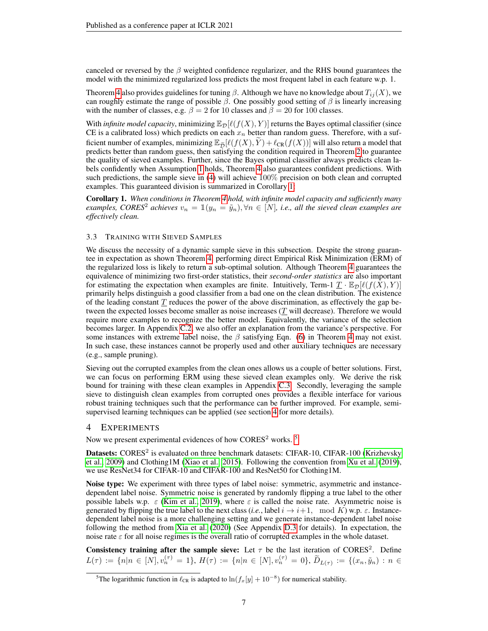canceled or reversed by the  $\beta$  weighted confidence regularizer, and the RHS bound guarantees the model with the minimized regularized loss predicts the most frequent label in each feature w.p. 1.

Theorem [4](#page-5-3) also provides guidelines for tuning  $\beta$ . Although we have no knowledge about  $T_{ij}(X)$ , we can roughly estimate the range of possible  $\beta$ . One possibly good setting of  $\beta$  is linearly increasing with the number of classes, e.g.  $\beta = 2$  for 10 classes and  $\beta = 20$  for 100 classes.

With *infinite model capacity*, minimizing  $\mathbb{E}_{\mathcal{D}}[\ell(f(X), Y)]$  returns the Bayes optimal classifier (since CE is a calibrated loss) which predicts on each  $x_n$  better than random guess. Therefore, with a sufficient number of examples, minimizing  $\mathbb{E}_{\tilde{D}}[\ell(f(X), \tilde{Y}) + \ell_{CR}(f(X))]$  will also return a model that predicts better than random guess, then satisfying the condition required in Theorem [2](#page-4-1) to guarantee the quality of sieved examples. Further, since the Bayes optimal classifier always predicts clean labels confidently when Assumption [1](#page-5-1) holds, Theorem [4](#page-5-3) also guarantees confident predictions. With such predictions, the sample sieve in [\(4\)](#page-3-3) will achieve 100% precision on both clean and corrupted examples. This guaranteed division is summarized in Corollary [1:](#page-6-1)

<span id="page-6-1"></span>Corollary 1. *When conditions in Theorem [4](#page-5-3) hold, with infinite model capacity and sufficiently many examples, CORES*<sup>2</sup> *achieves*  $v_n = \mathbb{1}(y_n = \tilde{y}_n), \forall n \in [N]$ , *i.e., all the sieved clean examples are effectively clean.*

### <span id="page-6-0"></span>3.3 TRAINING WITH SIEVED SAMPLES

We discuss the necessity of a dynamic sample sieve in this subsection. Despite the strong guarantee in expectation as shown Theorem [4,](#page-5-3) performing direct Empirical Risk Minimization (ERM) of the regularized loss is likely to return a sub-optimal solution. Although Theorem [4](#page-5-3) guarantees the equivalence of minimizing two first-order statistics, their *second-order statistics* are also important for estimating the expectation when examples are finite. Intuitively, Term-1  $\underline{T} \cdot \mathbb{E}_{\mathcal{D}}[\ell(f(X), Y)]$ primarily helps distinguish a good classifier from a bad one on the clean distribution. The existence of the leading constant  $T$  reduces the power of the above discrimination, as effectively the gap between the expected losses become smaller as noise increases (T will decrease). Therefore we would require more examples to recognize the better model. Equivalently, the variance of the selection becomes larger. In Appendix [C.2,](#page-20-1) we also offer an explanation from the variance's perspective. For some instances with extreme label noise, the  $\beta$  satisfying Eqn. [\(6\)](#page-5-4) in Theorem [4](#page-5-3) may not exist. In such case, these instances cannot be properly used and other auxiliary techniques are necessary (e.g., sample pruning).

Sieving out the corrupted examples from the clean ones allows us a couple of better solutions. First, we can focus on performing ERM using these sieved clean examples only. We derive the risk bound for training with these clean examples in Appendix [C.3.](#page-21-0) Secondly, leveraging the sample sieve to distinguish clean examples from corrupted ones provides a flexible interface for various robust training techniques such that the performance can be further improved. For example, semisupervised learning techniques can be applied (see section [4](#page-6-2) for more details).

### <span id="page-6-2"></span>4 EXPERIMENTS

Now we present experimental evidences of how CORES<sup>2</sup> works.  $5$ 

Datasets: CORES<sup>2</sup> is evaluated on three benchmark datasets: CIFAR-10, CIFAR-100 [\(Krizhevsky](#page-9-8) [et al., 2009\)](#page-9-8) and Clothing1M [\(Xiao et al., 2015\)](#page-11-2). Following the convention from [Xu et al.](#page-11-5) [\(2019\)](#page-11-5), we use ResNet34 for CIFAR-10 and CIFAR-100 and ResNet50 for Clothing1M.

Noise type: We experiment with three types of label noise: symmetric, asymmetric and instancedependent label noise. Symmetric noise is generated by randomly flipping a true label to the other possible labels w.p.  $\varepsilon$  [\(Kim et al., 2019\)](#page-9-7), where  $\varepsilon$  is called the noise rate. Asymmetric noise is generated by flipping the true label to the next class (*i.e.*, label  $i \rightarrow i+1$ , mod K) w.p.  $\varepsilon$ . Instancedependent label noise is a more challenging setting and we generate instance-dependent label noise following the method from [Xia et al.](#page-11-0) [\(2020\)](#page-11-0) (See Appendix [D.3](#page-24-0) for details). In expectation, the noise rate  $\varepsilon$  for all noise regimes is the overall ratio of corrupted examples in the whole dataset.

Consistency training after the sample sieve: Let  $\tau$  be the last iteration of CORES<sup>2</sup>. Define  $L(\tau) := \{n | n \in [N], v_n^{(\tau)} = 1\}, H(\tau) := \{n | n \in [N], v_n^{(\tau)} = 0\}, \widetilde{D}_{L(\tau)} := \{(x_n, \widetilde{y}_n) : n \in$ 

<span id="page-6-3"></span><sup>&</sup>lt;sup>5</sup>The logarithmic function in  $\ell_{CR}$  is adapted to ln $(f_x[y] + 10^{-8})$  for numerical stability.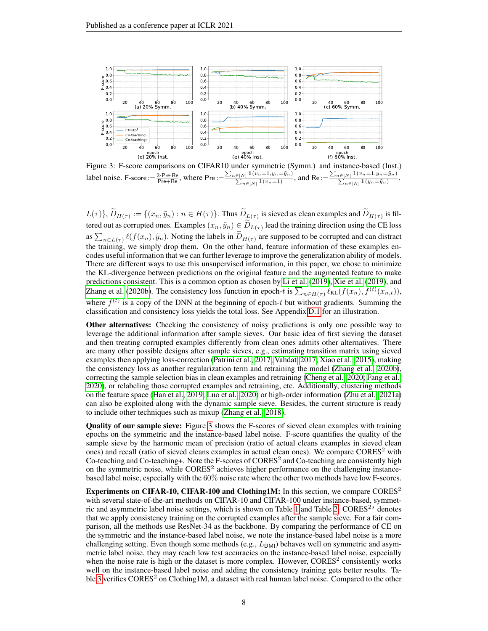<span id="page-7-0"></span>

Figure 3: F-score comparisons on CIFAR10 under symmetric (Symm.) and instance-based (Inst.) label noise. F-score :=  $\frac{2 \cdot \text{Pre-Re}}{\text{Pre+Re}}$ , where  $\text{Pre} := \frac{\sum_{n \in [N]} (v_n = 1, y_n = \tilde{y}_n)}{\sum_{n \in [N]} (v_n = 1)}$ , and  $\text{Re} := \frac{\sum_{n \in [N]} (v_n = 1, y_n = \tilde{y}_n)}{\sum_{n \in [N]} (y_n = \tilde{y}_n)}$ .

 $L(\tau)$ },  $D_{H(\tau)} := \{(x_n, \tilde{y}_n) : n \in H(\tau)\}\$ . Thus  $D_{L(\tau)}$  is sieved as clean examples and  $D_{H(\tau)}$  is filtered out as corrupted ones. Examples  $(x_n, \tilde{y}_n) \in D_{L(\tau)}$  lead the training direction using the CE loss as  $\sum_{n\in L(\tau)} \ell(f(x_n), \tilde{y}_n)$ . Noting the labels in  $D_{H(\tau)}$  are supposed to be corrupted and can distract the training, we simply drop them. On the other hand, feature information of these examples encodes useful information that we can further leverage to improve the generalization ability of models. There are different ways to use this unsupervised information, in this paper, we chose to minimize the KL-divergence between predictions on the original feature and the augmented feature to make predictions consistent. This is a common option as chosen by [Li et al.](#page-10-14) [\(2019\)](#page-10-14), [Xie et al.](#page-11-14) [\(2019\)](#page-11-14), and [Zhang et al.](#page-12-3) [\(2020b\)](#page-12-3). The consistency loss function in epoch-t is  $\sum_{n\in H(\tau)} \ell_{KL}(f(x_n), \bar{f}^{(t)}(x_{n,t}))$ , where  $\bar{f}^{(t)}$  is a copy of the DNN at the beginning of epoch-t but without gradients. Summing the classification and consistency loss yields the total loss. See Appendix [D.1](#page-23-0) for an illustration.

Other alternatives: Checking the consistency of noisy predictions is only one possible way to leverage the additional information after sample sieves. Our basic idea of first sieving the dataset and then treating corrupted examples differently from clean ones admits other alternatives. There are many other possible designs after sample sieves, e.g., estimating transition matrix using sieved examples then applying loss-correction [\(Patrini et al., 2017;](#page-10-1) [Vahdat, 2017;](#page-10-2) [Xiao et al., 2015\)](#page-11-2), making the consistency loss as another regularization term and retraining the model [\(Zhang et al., 2020b\)](#page-12-3), correcting the sample selection bias in clean examples and retraining [\(Cheng et al., 2020;](#page-9-1) [Fang et al.,](#page-9-9) [2020\)](#page-9-9), or relabeling those corrupted examples and retraining, etc. Additionally, clustering methods on the feature space [\(Han et al., 2019;](#page-9-4) [Luo et al., 2020\)](#page-10-15) or high-order information [\(Zhu et al., 2021a\)](#page-12-4) can also be exploited along with the dynamic sample sieve. Besides, the current structure is ready to include other techniques such as mixup [\(Zhang et al., 2018\)](#page-11-15).

Quality of our sample sieve: Figure [3](#page-7-0) shows the F-scores of sieved clean examples with training epochs on the symmetric and the instance-based label noise. F-score quantifies the quality of the sample sieve by the harmonic mean of precision (ratio of actual cleans examples in sieved clean ones) and recall (ratio of sieved cleans examples in actual clean ones). We compare  $CORES<sup>2</sup>$  with Co-teaching and Co-teaching+. Note the F-scores of CORES<sup>2</sup> and Co-teaching are consistently high on the symmetric noise, while CORES<sup>2</sup> achieves higher performance on the challenging instancebased label noise, especially with the 60% noise rate where the other two methods have low F-scores.

**Experiments on CIFAR-10, CIFAR-100 and Clothing1M:** In this section, we compare CORES<sup>2</sup> with several state-of-the-art methods on CIFAR-10 and CIFAR-100 under instance-based, symmet-ric and asymmetric label noise settings, which is shown on Table [1](#page-8-0) and Table [2.](#page-8-1)  $CORES<sup>2*</sup>$  denotes that we apply consistency training on the corrupted examples after the sample sieve. For a fair comparison, all the methods use ResNet-34 as the backbone. By comparing the performance of CE on the symmetric and the instance-based label noise, we note the instance-based label noise is a more challenging setting. Even though some methods (e.g.,  $L_{DMI}$ ) behaves well on symmetric and asymmetric label noise, they may reach low test accuracies on the instance-based label noise, especially when the noise rate is high or the dataset is more complex. However,  $\text{CORES}^2$  consistently works well on the instance-based label noise and adding the consistency training gets better results. Ta-ble [3](#page-8-2) verifies  $CORES<sup>2</sup>$  on Clothing 1M, a dataset with real human label noise. Compared to the other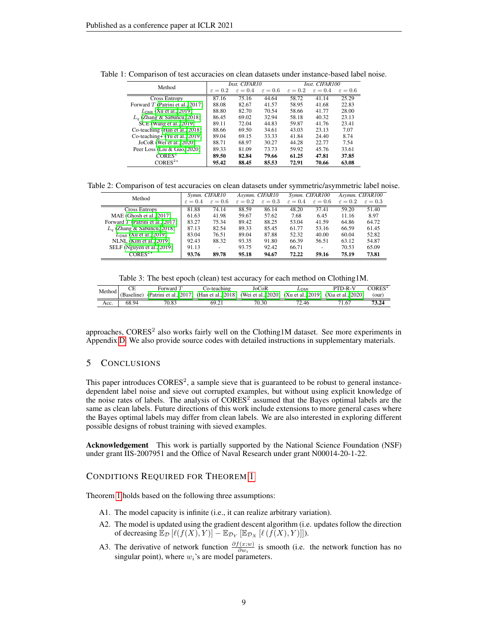| Method                             |                     | Inst. CIFAR10       |                     | Inst. CIFAR100      |                     |                     |  |
|------------------------------------|---------------------|---------------------|---------------------|---------------------|---------------------|---------------------|--|
|                                    | $\varepsilon = 0.2$ | $\varepsilon = 0.4$ | $\varepsilon = 0.6$ | $\varepsilon = 0.2$ | $\varepsilon = 0.4$ | $\varepsilon = 0.6$ |  |
| <b>Cross Entropy</b>               | 87.16               | 75.16               | 44.64               | 58.72               | 41.14               | 25.29               |  |
| Forward $T$ (Patrini et al., 2017) | 88.08               | 82.67               | 41.57               | 58.95               | 41.68               | 22.83               |  |
| $L_{DMI}$ (Xu et al., 2019)        | 88.80               | 82.70               | 70.54               | 58.66               | 41.77               | 28.00               |  |
| $L_q$ (Zhang & Sabuncu, 2018)      | 86.45               | 69.02               | 32.94               | 58.18               | 40.32               | 23.13               |  |
| SCE (Wang et al., 2019)            | 89.11               | 72.04               | 44.83               | 59.87               | 41.76               | 23.41               |  |
| Co-teaching (Han et al., 2018)     | 88.66               | 69.50               | 34.61               | 43.03               | 23.13               | 7.07                |  |
| $Co$ -teaching+ (Yu et al., 2019)  | 89.04               | 69.15               | 33.33               | 41.84               | 24.40               | 8.74                |  |
| JoCoR (Wei et al., 2020)           | 88.71               | 68.97               | 30.27               | 44.28               | 22.77               | 7.54                |  |
| Peer Loss (Liu & Guo, 2020)        | 89.33               | 81.09               | 73.73               | 59.92               | 45.76               | 33.61               |  |
| CORES <sup>2</sup>                 | 89.50               | 82.84               | 79.66               | 61.25               | 47.81               | 37.85               |  |
| CORES <sup>2</sup> <sup>*</sup>    | 95.42               | 88.45               | 85.53               | 72.91               | 70.66               | 63.08               |  |

<span id="page-8-0"></span>Table 1: Comparison of test accuracies on clean datasets under instance-based label noise.

<span id="page-8-1"></span>Table 2: Comparison of test accuracies on clean datasets under symmetric/asymmetric label noise.

| Method                               | Symm. CIFAR10       |                     | Asymm. CIFAR10      |                     | Symm. CIFAR100      |                     | Asymm. CIFAR100     |                     |
|--------------------------------------|---------------------|---------------------|---------------------|---------------------|---------------------|---------------------|---------------------|---------------------|
|                                      | $\varepsilon = 0.4$ | $\varepsilon = 0.6$ | $\varepsilon = 0.2$ | $\varepsilon = 0.3$ | $\varepsilon = 0.4$ | $\varepsilon = 0.6$ | $\varepsilon = 0.2$ | $\varepsilon = 0.3$ |
| <b>Cross Entropy</b>                 | 81.88               | 74.14               | 88.59               | 86.14               | 48.20               | 37.41               | 59.20               | 51.40               |
| MAE (Ghosh et al., 2017)             | 61.63               | 41.98               | 59.67               | 57.62               | 7.68                | 6.45                | 11.16               | 8.97                |
| Forward $T$ (Patrini et al., 2017)   | 83.27               | 75.34               | 89.42               | 88.25               | 53.04               | 41.59               | 64.86               | 64.72               |
| $L_q$ (Zhang & Sabuncu, 2018)        | 87.13               | 82.54               | 89.33               | 85.45               | 61.77               | 53.16               | 66.59               | 61.45               |
| $L_{\text{DMI}}$ (Xu et al., 2019)   | 83.04               | 76.51               | 89.04               | 87.88               | 52.32               | 40.00               | 60.04               | 52.82               |
| NLNL (Kim et al., 2019)              | 92.43               | 88.32               | 93.35               | 91.80               | 66.39               | 56.51               | 63.12               | 54.87               |
| SELF (Nguyen et al., 2019)           | 91.13               |                     | 93.75               | 92.42               | 66.71               | -                   | 70.53               | 65.09               |
| CORES <sup>2<math>\star</math></sup> | 93.76               | 89.78               | 95.18               | 94.67               | 72.22               | 59.16               | 75.19               | 73.81               |

|  |  |  | Table 3: The best epoch (clean) test accuracy for each method on Clothing1M. |
|--|--|--|------------------------------------------------------------------------------|
|--|--|--|------------------------------------------------------------------------------|

<span id="page-8-2"></span>

|      |       | Forward $T$                                                                                                               | Co-teaching | JoCoR | $L_{\sf DM}$ | PTD-R-V | CORES <sup>2</sup> |
|------|-------|---------------------------------------------------------------------------------------------------------------------------|-------------|-------|--------------|---------|--------------------|
|      |       | Method (Baseline) (Patrini et al., 2017) (Han et al., 2018) (Wei et al., 2020) (Xu et al., 2019) (Xia et al., 2020) (our) |             |       |              |         |                    |
| Acc. | 68.94 | 70.83                                                                                                                     | 69.21       | 70.30 | 72.46        | 71.67   |                    |

approaches, CORES<sup>2</sup> also works fairly well on the Clothing1M dataset. See more experiments in Appendix [D.](#page-22-0) We also provide source codes with detailed instructions in supplementary materials.

# 5 CONCLUSIONS

This paper introduces  $\text{CORES}^2$ , a sample sieve that is guaranteed to be robust to general instancedependent label noise and sieve out corrupted examples, but without using explicit knowledge of the noise rates of labels. The analysis of  $CORES<sup>2</sup>$  assumed that the Bayes optimal labels are the same as clean labels. Future directions of this work include extensions to more general cases where the Bayes optimal labels may differ from clean labels. We are also interested in exploring different possible designs of robust training with sieved examples.

Acknowledgement This work is partially supported by the National Science Foundation (NSF) under grant IIS-2007951 and the Office of Naval Research under grant N00014-20-1-22.

# CONDITIONS REQUIRED FOR THEOREM [1](#page-2-3)

Theorem [1](#page-2-3) holds based on the following three assumptions:

- A1. The model capacity is infinite (i.e., it can realize arbitrary variation).
- A2. The model is updated using the gradient descent algorithm (i.e. updates follow the direction of decreasing  $\mathbb{E}_{\mathcal{D}}\left[\ell(f(X), Y)\right] - \mathbb{E}_{\mathcal{D}_Y}\left[\mathbb{E}_{\mathcal{D}_X}\left[\ell(f(X), Y)\right]\right].$
- A3. The derivative of network function  $\frac{\partial f(x;w)}{\partial w_i}$  is smooth (i.e. the network function has no singular point), where  $w_i$ 's are model parameters.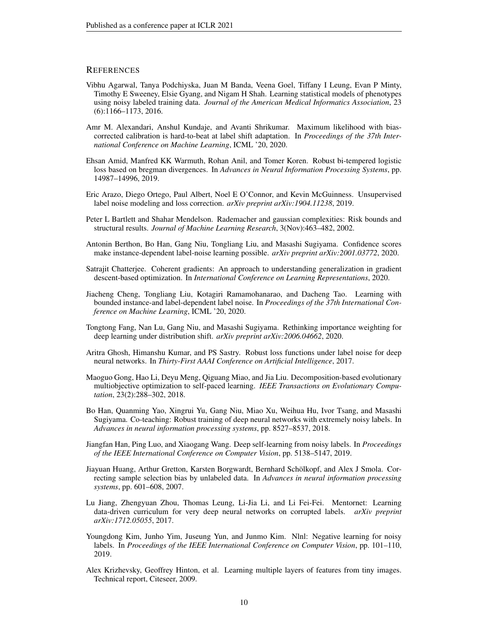# **REFERENCES**

- <span id="page-9-5"></span>Vibhu Agarwal, Tanya Podchiyska, Juan M Banda, Veena Goel, Tiffany I Leung, Evan P Minty, Timothy E Sweeney, Elsie Gyang, and Nigam H Shah. Learning statistical models of phenotypes using noisy labeled training data. *Journal of the American Medical Informatics Association*, 23 (6):1166–1173, 2016.
- <span id="page-9-13"></span>Amr M. Alexandari, Anshul Kundaje, and Avanti Shrikumar. Maximum likelihood with biascorrected calibration is hard-to-beat at label shift adaptation. In *Proceedings of the 37th International Conference on Machine Learning*, ICML '20, 2020.
- <span id="page-9-11"></span>Ehsan Amid, Manfred KK Warmuth, Rohan Anil, and Tomer Koren. Robust bi-tempered logistic loss based on bregman divergences. In *Advances in Neural Information Processing Systems*, pp. 14987–14996, 2019.
- <span id="page-9-16"></span>Eric Arazo, Diego Ortego, Paul Albert, Noel E O'Connor, and Kevin McGuinness. Unsupervised label noise modeling and loss correction. *arXiv preprint arXiv:1904.11238*, 2019.
- <span id="page-9-15"></span>Peter L Bartlett and Shahar Mendelson. Rademacher and gaussian complexities: Risk bounds and structural results. *Journal of Machine Learning Research*, 3(Nov):463–482, 2002.
- <span id="page-9-0"></span>Antonin Berthon, Bo Han, Gang Niu, Tongliang Liu, and Masashi Sugiyama. Confidence scores make instance-dependent label-noise learning possible. *arXiv preprint arXiv:2001.03772*, 2020.
- <span id="page-9-6"></span>Satrajit Chatterjee. Coherent gradients: An approach to understanding generalization in gradient descent-based optimization. In *International Conference on Learning Representations*, 2020.
- <span id="page-9-1"></span>Jiacheng Cheng, Tongliang Liu, Kotagiri Ramamohanarao, and Dacheng Tao. Learning with bounded instance-and label-dependent label noise. In *Proceedings of the 37th International Conference on Machine Learning*, ICML '20, 2020.
- <span id="page-9-9"></span>Tongtong Fang, Nan Lu, Gang Niu, and Masashi Sugiyama. Rethinking importance weighting for deep learning under distribution shift. *arXiv preprint arXiv:2006.04662*, 2020.
- <span id="page-9-10"></span>Aritra Ghosh, Himanshu Kumar, and PS Sastry. Robust loss functions under label noise for deep neural networks. In *Thirty-First AAAI Conference on Artificial Intelligence*, 2017.
- <span id="page-9-12"></span>Maoguo Gong, Hao Li, Deyu Meng, Qiguang Miao, and Jia Liu. Decomposition-based evolutionary multiobjective optimization to self-paced learning. *IEEE Transactions on Evolutionary Computation*, 23(2):288–302, 2018.
- <span id="page-9-3"></span>Bo Han, Quanming Yao, Xingrui Yu, Gang Niu, Miao Xu, Weihua Hu, Ivor Tsang, and Masashi Sugiyama. Co-teaching: Robust training of deep neural networks with extremely noisy labels. In *Advances in neural information processing systems*, pp. 8527–8537, 2018.
- <span id="page-9-4"></span>Jiangfan Han, Ping Luo, and Xiaogang Wang. Deep self-learning from noisy labels. In *Proceedings of the IEEE International Conference on Computer Vision*, pp. 5138–5147, 2019.
- <span id="page-9-14"></span>Jiayuan Huang, Arthur Gretton, Karsten Borgwardt, Bernhard Schölkopf, and Alex J Smola. Correcting sample selection bias by unlabeled data. In *Advances in neural information processing systems*, pp. 601–608, 2007.
- <span id="page-9-2"></span>Lu Jiang, Zhengyuan Zhou, Thomas Leung, Li-Jia Li, and Li Fei-Fei. Mentornet: Learning data-driven curriculum for very deep neural networks on corrupted labels. *arXiv preprint arXiv:1712.05055*, 2017.
- <span id="page-9-7"></span>Youngdong Kim, Junho Yim, Juseung Yun, and Junmo Kim. Nlnl: Negative learning for noisy labels. In *Proceedings of the IEEE International Conference on Computer Vision*, pp. 101–110, 2019.
- <span id="page-9-8"></span>Alex Krizhevsky, Geoffrey Hinton, et al. Learning multiple layers of features from tiny images. Technical report, Citeseer, 2009.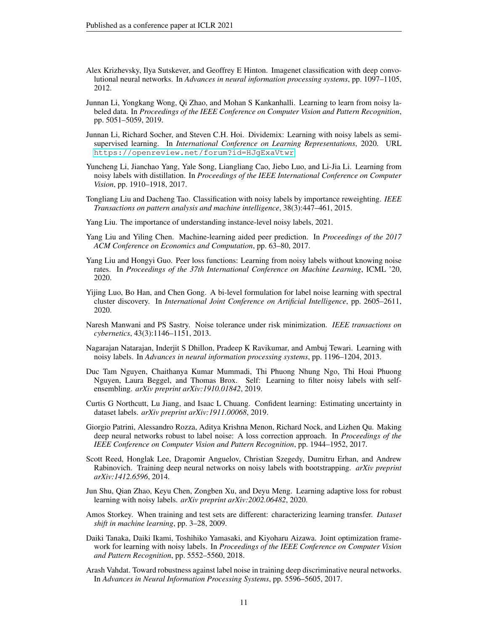- <span id="page-10-9"></span>Alex Krizhevsky, Ilya Sutskever, and Geoffrey E Hinton. Imagenet classification with deep convolutional neural networks. In *Advances in neural information processing systems*, pp. 1097–1105, 2012.
- <span id="page-10-14"></span>Junnan Li, Yongkang Wong, Qi Zhao, and Mohan S Kankanhalli. Learning to learn from noisy labeled data. In *Proceedings of the IEEE Conference on Computer Vision and Pattern Recognition*, pp. 5051–5059, 2019.
- <span id="page-10-7"></span>Junnan Li, Richard Socher, and Steven C.H. Hoi. Dividemix: Learning with noisy labels as semisupervised learning. In *International Conference on Learning Representations*, 2020. URL <https://openreview.net/forum?id=HJgExaVtwr>.
- <span id="page-10-6"></span>Yuncheng Li, Jianchao Yang, Yale Song, Liangliang Cao, Jiebo Luo, and Li-Jia Li. Learning from noisy labels with distillation. In *Proceedings of the IEEE International Conference on Computer Vision*, pp. 1910–1918, 2017.
- <span id="page-10-12"></span>Tongliang Liu and Dacheng Tao. Classification with noisy labels by importance reweighting. *IEEE Transactions on pattern analysis and machine intelligence*, 38(3):447–461, 2015.
- <span id="page-10-0"></span>Yang Liu. The importance of understanding instance-level noisy labels, 2021.
- <span id="page-10-13"></span>Yang Liu and Yiling Chen. Machine-learning aided peer prediction. In *Proceedings of the 2017 ACM Conference on Economics and Computation*, pp. 63–80, 2017.
- <span id="page-10-4"></span>Yang Liu and Hongyi Guo. Peer loss functions: Learning from noisy labels without knowing noise rates. In *Proceedings of the 37th International Conference on Machine Learning*, ICML '20, 2020.
- <span id="page-10-15"></span>Yijing Luo, Bo Han, and Chen Gong. A bi-level formulation for label noise learning with spectral cluster discovery. In *International Joint Conference on Artificial Intelligence*, pp. 2605–2611, 2020.
- <span id="page-10-10"></span>Naresh Manwani and PS Sastry. Noise tolerance under risk minimization. *IEEE transactions on cybernetics*, 43(3):1146–1151, 2013.
- <span id="page-10-3"></span>Nagarajan Natarajan, Inderjit S Dhillon, Pradeep K Ravikumar, and Ambuj Tewari. Learning with noisy labels. In *Advances in neural information processing systems*, pp. 1196–1204, 2013.
- <span id="page-10-8"></span>Duc Tam Nguyen, Chaithanya Kumar Mummadi, Thi Phuong Nhung Ngo, Thi Hoai Phuong Nguyen, Laura Beggel, and Thomas Brox. Self: Learning to filter noisy labels with selfensembling. *arXiv preprint arXiv:1910.01842*, 2019.
- <span id="page-10-5"></span>Curtis G Northcutt, Lu Jiang, and Isaac L Chuang. Confident learning: Estimating uncertainty in dataset labels. *arXiv preprint arXiv:1911.00068*, 2019.
- <span id="page-10-1"></span>Giorgio Patrini, Alessandro Rozza, Aditya Krishna Menon, Richard Nock, and Lizhen Qu. Making deep neural networks robust to label noise: A loss correction approach. In *Proceedings of the IEEE Conference on Computer Vision and Pattern Recognition*, pp. 1944–1952, 2017.
- <span id="page-10-18"></span>Scott Reed, Honglak Lee, Dragomir Anguelov, Christian Szegedy, Dumitru Erhan, and Andrew Rabinovich. Training deep neural networks on noisy labels with bootstrapping. *arXiv preprint arXiv:1412.6596*, 2014.
- <span id="page-10-16"></span>Jun Shu, Qian Zhao, Keyu Chen, Zongben Xu, and Deyu Meng. Learning adaptive loss for robust learning with noisy labels. *arXiv preprint arXiv:2002.06482*, 2020.
- <span id="page-10-17"></span>Amos Storkey. When training and test sets are different: characterizing learning transfer. *Dataset shift in machine learning*, pp. 3–28, 2009.
- <span id="page-10-11"></span>Daiki Tanaka, Daiki Ikami, Toshihiko Yamasaki, and Kiyoharu Aizawa. Joint optimization framework for learning with noisy labels. In *Proceedings of the IEEE Conference on Computer Vision and Pattern Recognition*, pp. 5552–5560, 2018.
- <span id="page-10-2"></span>Arash Vahdat. Toward robustness against label noise in training deep discriminative neural networks. In *Advances in Neural Information Processing Systems*, pp. 5596–5605, 2017.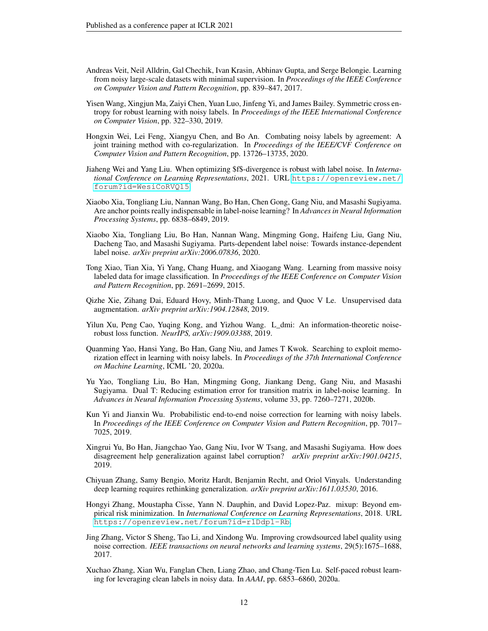- <span id="page-11-11"></span>Andreas Veit, Neil Alldrin, Gal Chechik, Ivan Krasin, Abhinav Gupta, and Serge Belongie. Learning from noisy large-scale datasets with minimal supervision. In *Proceedings of the IEEE Conference on Computer Vision and Pattern Recognition*, pp. 839–847, 2017.
- <span id="page-11-16"></span>Yisen Wang, Xingjun Ma, Zaiyi Chen, Yuan Luo, Jinfeng Yi, and James Bailey. Symmetric cross entropy for robust learning with noisy labels. In *Proceedings of the IEEE International Conference on Computer Vision*, pp. 322–330, 2019.
- <span id="page-11-9"></span>Hongxin Wei, Lei Feng, Xiangyu Chen, and Bo An. Combating noisy labels by agreement: A joint training method with co-regularization. In *Proceedings of the IEEE/CVF Conference on Computer Vision and Pattern Recognition*, pp. 13726–13735, 2020.
- <span id="page-11-6"></span>Jiaheng Wei and Yang Liu. When optimizing \$f\$-divergence is robust with label noise. In *International Conference on Learning Representations*, 2021. URL [https://openreview.net/](https://openreview.net/forum?id=WesiCoRVQ15) [forum?id=WesiCoRVQ15](https://openreview.net/forum?id=WesiCoRVQ15).
- <span id="page-11-4"></span>Xiaobo Xia, Tongliang Liu, Nannan Wang, Bo Han, Chen Gong, Gang Niu, and Masashi Sugiyama. Are anchor points really indispensable in label-noise learning? In *Advances in Neural Information Processing Systems*, pp. 6838–6849, 2019.
- <span id="page-11-0"></span>Xiaobo Xia, Tongliang Liu, Bo Han, Nannan Wang, Mingming Gong, Haifeng Liu, Gang Niu, Dacheng Tao, and Masashi Sugiyama. Parts-dependent label noise: Towards instance-dependent label noise. *arXiv preprint arXiv:2006.07836*, 2020.
- <span id="page-11-2"></span>Tong Xiao, Tian Xia, Yi Yang, Chang Huang, and Xiaogang Wang. Learning from massive noisy labeled data for image classification. In *Proceedings of the IEEE Conference on Computer Vision and Pattern Recognition*, pp. 2691–2699, 2015.
- <span id="page-11-14"></span>Qizhe Xie, Zihang Dai, Eduard Hovy, Minh-Thang Luong, and Quoc V Le. Unsupervised data augmentation. *arXiv preprint arXiv:1904.12848*, 2019.
- <span id="page-11-5"></span>Yilun Xu, Peng Cao, Yuqing Kong, and Yizhou Wang. L\_dmi: An information-theoretic noiserobust loss function. *NeurIPS, arXiv:1909.03388*, 2019.
- <span id="page-11-8"></span>Quanming Yao, Hansi Yang, Bo Han, Gang Niu, and James T Kwok. Searching to exploit memorization effect in learning with noisy labels. In *Proceedings of the 37th International Conference on Machine Learning*, ICML '20, 2020a.
- <span id="page-11-3"></span>Yu Yao, Tongliang Liu, Bo Han, Mingming Gong, Jiankang Deng, Gang Niu, and Masashi Sugiyama. Dual T: Reducing estimation error for transition matrix in label-noise learning. In *Advances in Neural Information Processing Systems*, volume 33, pp. 7260–7271, 2020b.
- <span id="page-11-13"></span>Kun Yi and Jianxin Wu. Probabilistic end-to-end noise correction for learning with noisy labels. In *Proceedings of the IEEE Conference on Computer Vision and Pattern Recognition*, pp. 7017– 7025, 2019.
- <span id="page-11-7"></span>Xingrui Yu, Bo Han, Jiangchao Yao, Gang Niu, Ivor W Tsang, and Masashi Sugiyama. How does disagreement help generalization against label corruption? *arXiv preprint arXiv:1901.04215*, 2019.
- <span id="page-11-1"></span>Chiyuan Zhang, Samy Bengio, Moritz Hardt, Benjamin Recht, and Oriol Vinyals. Understanding deep learning requires rethinking generalization. *arXiv preprint arXiv:1611.03530*, 2016.
- <span id="page-11-15"></span>Hongyi Zhang, Moustapha Cisse, Yann N. Dauphin, and David Lopez-Paz. mixup: Beyond empirical risk minimization. In *International Conference on Learning Representations*, 2018. URL <https://openreview.net/forum?id=r1Ddp1-Rb>.
- <span id="page-11-12"></span>Jing Zhang, Victor S Sheng, Tao Li, and Xindong Wu. Improving crowdsourced label quality using noise correction. *IEEE transactions on neural networks and learning systems*, 29(5):1675–1688, 2017.
- <span id="page-11-10"></span>Xuchao Zhang, Xian Wu, Fanglan Chen, Liang Zhao, and Chang-Tien Lu. Self-paced robust learning for leveraging clean labels in noisy data. In *AAAI*, pp. 6853–6860, 2020a.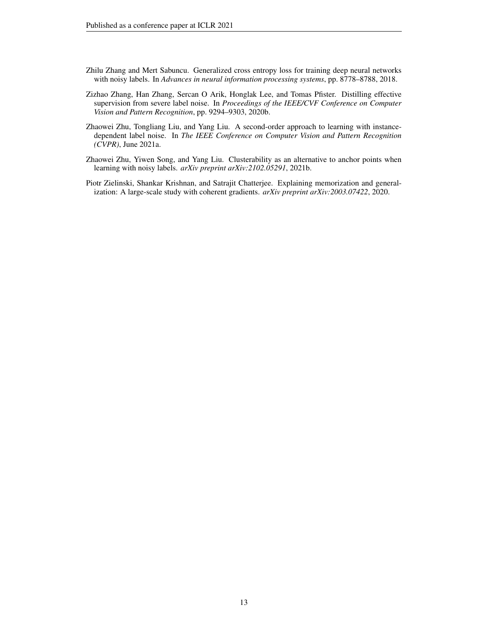- <span id="page-12-2"></span>Zhilu Zhang and Mert Sabuncu. Generalized cross entropy loss for training deep neural networks with noisy labels. In *Advances in neural information processing systems*, pp. 8778–8788, 2018.
- <span id="page-12-3"></span>Zizhao Zhang, Han Zhang, Sercan O Arik, Honglak Lee, and Tomas Pfister. Distilling effective supervision from severe label noise. In *Proceedings of the IEEE/CVF Conference on Computer Vision and Pattern Recognition*, pp. 9294–9303, 2020b.
- <span id="page-12-4"></span>Zhaowei Zhu, Tongliang Liu, and Yang Liu. A second-order approach to learning with instancedependent label noise. In *The IEEE Conference on Computer Vision and Pattern Recognition (CVPR)*, June 2021a.
- <span id="page-12-0"></span>Zhaowei Zhu, Yiwen Song, and Yang Liu. Clusterability as an alternative to anchor points when learning with noisy labels. *arXiv preprint arXiv:2102.05291*, 2021b.
- <span id="page-12-1"></span>Piotr Zielinski, Shankar Krishnan, and Satrajit Chatterjee. Explaining memorization and generalization: A large-scale study with coherent gradients. *arXiv preprint arXiv:2003.07422*, 2020.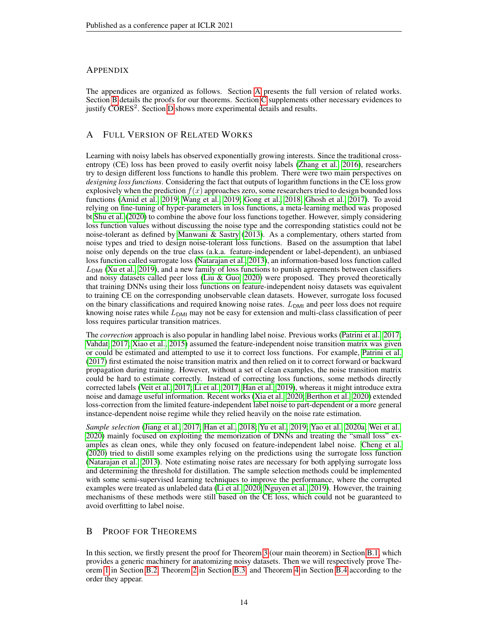# APPENDIX

The appendices are organized as follows. Section [A](#page-13-0) presents the full version of related works. Section [B](#page-13-1) details the proofs for our theorems. Section [C](#page-19-0) supplements other necessary evidences to justify CORES<sup>2</sup>. Section [D](#page-22-0) shows more experimental details and results.

# <span id="page-13-0"></span>A FULL VERSION OF RELATED WORKS

Learning with noisy labels has observed exponentially growing interests. Since the traditional crossentropy (CE) loss has been proved to easily overfit noisy labels [\(Zhang et al., 2016\)](#page-11-1), researchers try to design different loss functions to handle this problem. There were two main perspectives on *designing loss functions*. Considering the fact that outputs of logarithm functions in the CE loss grow explosively when the prediction  $f(x)$  approaches zero, some researchers tried to design bounded loss functions [\(Amid et al., 2019;](#page-9-11) [Wang et al., 2019;](#page-11-16) [Gong et al., 2018;](#page-9-12) [Ghosh et al., 2017\)](#page-9-10). To avoid relying on fine-tuning of hyper-parameters in loss functions, a meta-learning method was proposed bt [Shu et al.](#page-10-16) [\(2020\)](#page-10-16) to combine the above four loss functions together. However, simply considering loss function values without discussing the noise type and the corresponding statistics could not be noise-tolerant as defined by [Manwani & Sastry](#page-10-10) [\(2013\)](#page-10-10). As a complementary, others started from noise types and tried to design noise-tolerant loss functions. Based on the assumption that label noise only depends on the true class (a.k.a. feature-independent or label-dependent), an unbiased loss function called surrogate loss [\(Natarajan et al., 2013\)](#page-10-3), an information-based loss function called  $L_{\text{DMI}}$  [\(Xu et al., 2019\)](#page-11-5), and a new family of loss functions to punish agreements between classifiers and noisy datasets called peer loss [\(Liu & Guo, 2020\)](#page-10-4) were proposed. They proved theoretically that training DNNs using their loss functions on feature-independent noisy datasets was equivalent to training CE on the corresponding unobservable clean datasets. However, surrogate loss focused on the binary classifications and required knowing noise rates.  $L_{DMI}$  and peer loss does not require knowing noise rates while  $L_{\text{DMI}}$  may not be easy for extension and multi-class classification of peer loss requires particular transition matrices.

The *correction* approach is also popular in handling label noise. Previous works [\(Patrini et al., 2017;](#page-10-1) [Vahdat, 2017;](#page-10-2) [Xiao et al., 2015\)](#page-11-2) assumed the feature-independent noise transition matrix was given or could be estimated and attempted to use it to correct loss functions. For example, [Patrini et al.](#page-10-1) [\(2017\)](#page-10-1) first estimated the noise transition matrix and then relied on it to correct forward or backward propagation during training. However, without a set of clean examples, the noise transition matrix could be hard to estimate correctly. Instead of correcting loss functions, some methods directly corrected labels [\(Veit et al., 2017;](#page-11-11) [Li et al., 2017;](#page-10-6) [Han et al., 2019\)](#page-9-4), whereas it might introduce extra noise and damage useful information. Recent works [\(Xia et al., 2020;](#page-11-0) [Berthon et al., 2020\)](#page-9-0) extended loss-correction from the limited feature-independent label noise to part-dependent or a more general instance-dependent noise regime while they relied heavily on the noise rate estimation.

*Sample selection* [\(Jiang et al., 2017;](#page-9-2) [Han et al., 2018;](#page-9-3) [Yu et al., 2019;](#page-11-7) [Yao et al., 2020a;](#page-11-8) [Wei et al.,](#page-11-9) [2020\)](#page-11-9) mainly focused on exploiting the memorization of DNNs and treating the "small loss" examples as clean ones, while they only focused on feature-independent label noise. [Cheng et al.](#page-9-1) [\(2020\)](#page-9-1) tried to distill some examples relying on the predictions using the surrogate loss function [\(Natarajan et al., 2013\)](#page-10-3). Note estimating noise rates are necessary for both applying surrogate loss and determining the threshold for distillation. The sample selection methods could be implemented with some semi-supervised learning techniques to improve the performance, where the corrupted examples were treated as unlabeled data [\(Li et al., 2020;](#page-10-7) [Nguyen et al., 2019\)](#page-10-8). However, the training mechanisms of these methods were still based on the CE loss, which could not be guaranteed to avoid overfitting to label noise.

# <span id="page-13-1"></span>B PROOF FOR THEOREMS

In this section, we firstly present the proof for Theorem [3](#page-4-2) (our main theorem) in Section [B.1,](#page-14-0) which provides a generic machinery for anatomizing noisy datasets. Then we will respectively prove Theorem [1](#page-2-3) in Section [B.2,](#page-15-0) Theorem [2](#page-4-1) in Section [B.3,](#page-18-0) and Theorem [4](#page-5-3) in Section [B.4](#page-18-1) according to the order they appear.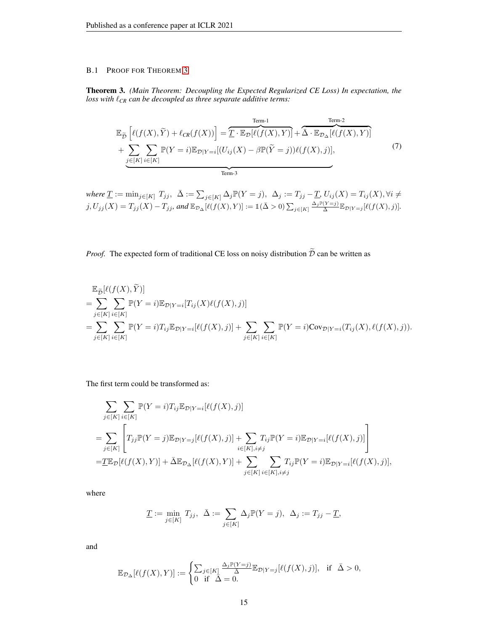# <span id="page-14-0"></span>B.1 PROOF FOR THEOREM [3](#page-4-2)

Theorem 3. *(Main Theorem: Decoupling the Expected Regularized CE Loss) In expectation, the loss with*  $\ell_{CR}$  *can be decoupled as three separate additive terms:* 

$$
\mathbb{E}_{\widetilde{D}}\left[\ell(f(X),\widetilde{Y}) + \ell_{CR}(f(X))\right] = \widetilde{T} \cdot \mathbb{E}_{\mathcal{D}}[\ell(f(X),Y)] + \widetilde{\Delta} \cdot \mathbb{E}_{\mathcal{D}_{\Delta}}[\ell(f(X),Y)] + \sum_{j \in [K]} \sum_{i \in [K]} \mathbb{P}(Y=i) \mathbb{E}_{\mathcal{D}|Y=i}[(U_{ij}(X) - \beta \mathbb{P}(\widetilde{Y}=j))\ell(f(X),j)],
$$
\n(7)

 $where \underline{T} := min_{j \in [K]} \ T_{jj}, \ \ \bar{\Delta} := \sum_{j \in [K]} \Delta_j \mathbb{P}(Y = j), \ \ \Delta_j := T_{jj} - \underline{T}, \ U_{ij}(X) = T_{ij}(X), \forall i \neq j$  $j, U_{jj}(X) = T_{jj}(X) - T_{jj}$ , and  $\mathbb{E}_{\mathcal{D}_{\Delta}}[\ell(f(X), Y)] := \mathbb{1}(\bar{\Delta} > 0) \sum_{j \in [K]} \frac{\Delta_j \mathbb{P}(Y=j)}{\bar{\Delta}} \mathbb{E}_{\mathcal{D}|Y=j}[\ell(f(X), j)].$ 

# *Proof.* The expected form of traditional CE loss on noisy distribution  $\tilde{\mathcal{D}}$  can be written as

$$
\mathbb{E}_{\tilde{\mathcal{D}}}[\ell(f(X), \tilde{Y})]
$$
\n
$$
= \sum_{j \in [K]} \sum_{i \in [K]} \mathbb{P}(Y = i) \mathbb{E}_{\mathcal{D}|Y=i} [T_{ij}(X)\ell(f(X), j)]
$$
\n
$$
= \sum_{j \in [K]} \sum_{i \in [K]} \mathbb{P}(Y = i) T_{ij} \mathbb{E}_{\mathcal{D}|Y=i} [\ell(f(X), j)] + \sum_{j \in [K]} \sum_{i \in [K]} \mathbb{P}(Y = i) \text{Cov}_{\mathcal{D}|Y=i} (T_{ij}(X), \ell(f(X), j)).
$$

The first term could be transformed as:

$$
\sum_{j \in [K]} \sum_{i \in [K]} \mathbb{P}(Y = i) T_{ij} \mathbb{E}_{\mathcal{D}|Y=i} [\ell(f(X), j)]
$$
\n
$$
= \sum_{j \in [K]} \left[ T_{jj} \mathbb{P}(Y = j) \mathbb{E}_{\mathcal{D}|Y=j} [\ell(f(X), j)] + \sum_{i \in [K], i \neq j} T_{ij} \mathbb{P}(Y = i) \mathbb{E}_{\mathcal{D}|Y=i} [\ell(f(X), j)] \right]
$$
\n
$$
= \underline{T} \mathbb{E}_{\mathcal{D}} [\ell(f(X), Y)] + \bar{\Delta} \mathbb{E}_{\mathcal{D}_{\Delta}} [\ell(f(X), Y)] + \sum_{j \in [K]} \sum_{i \in [K], i \neq j} T_{ij} \mathbb{P}(Y = i) \mathbb{E}_{\mathcal{D}|Y=i} [\ell(f(X), j)],
$$

where

$$
\underline{T} := \min_{j \in [K]} T_{jj}, \ \ \bar{\Delta} := \sum_{j \in [K]} \Delta_j \mathbb{P}(Y = j), \ \ \Delta_j := T_{jj} - \underline{T},
$$

and

$$
\mathbb{E}_{\mathcal{D}_{\Delta}}[\ell(f(X),Y)]:=\begin{cases} \sum_{j\in[K]}\frac{\Delta_j\mathbb{P}(Y=j)}{\tilde{\Delta}}\mathbb{E}_{\mathcal{D}|Y=j}[\ell(f(X),j)], & \text{if } \tilde{\Delta}>0, \\ 0 & \text{if } \tilde{\Delta}=0. \end{cases}
$$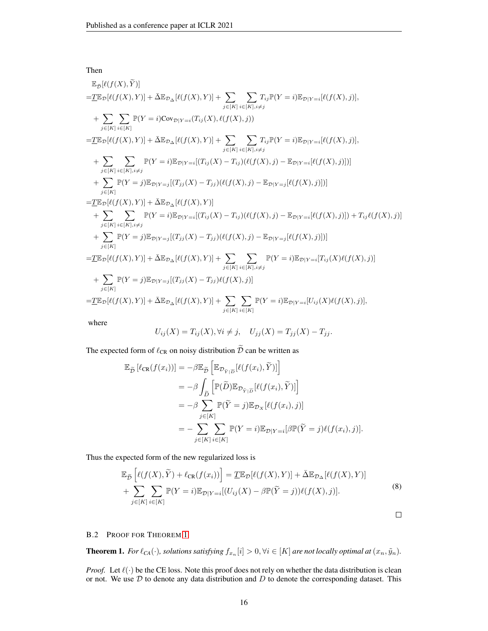Then

 $\mathbb{E}_{\widetilde{\mathcal{D}}}[\ell(f(X), \widetilde{Y})]$  $=\underline{T}\mathbb{E}_{\mathcal{D}}[\ell(f(X), Y)] + \bar{\Delta}\mathbb{E}_{\mathcal{D}_{\Delta}}[\ell(f(X), Y)] + \sum$  $j \in [K]$  $\sum$  $i \in [K], i \neq j$  $T_{ij}\mathbb{P}(Y=i)\mathbb{E}_{\mathcal{D}|Y=i}[\ell(f(X),j)],$  $+$   $\Sigma$  $j \in [K]$  $\sum$  $i \in [K]$  $\mathbb{P}(Y = i) \text{Cov}_{\mathcal{D}|Y = i}(T_{ij}(X), \ell(f(X), j))$  $=\underline{T}\mathbb{E}_{\mathcal{D}}[\ell(f(X), Y)] + \bar{\Delta}\mathbb{E}_{\mathcal{D}_{\Delta}}[\ell(f(X), Y)] + \sum$  $j \in [K]$  $\sum$  $i \in [K], i \neq j$  $T_{ij}\mathbb{P}(Y=i)\mathbb{E}_{\mathcal{D}|Y=i}[\ell(f(X),j)],$  $+$   $\Sigma$  $j \in [K]$  $\sum$  $i\in[K], i\neq j$  $\mathbb{P}(Y = i) \mathbb{E}_{\mathcal{D}|Y=i}[(T_{ij}(X) - T_{ij})(\ell(f(X), j) - \mathbb{E}_{\mathcal{D}|Y=i}[\ell(f(X), j)])]$  $+$   $\Sigma$  $j \in [K]$  $\mathbb{P}(Y = j) \mathbb{E}_{\mathcal{D}|Y = j} [(T_{jj}(X) - T_{jj}) (\ell(f(X), j) - \mathbb{E}_{\mathcal{D}|Y = j} [\ell(f(X), j)])]$  $=\underline{T}\mathbb{E}_{\mathcal{D}}[\ell(f(X), Y)] + \bar{\Delta} \mathbb{E}_{\mathcal{D}_{\Delta}}[\ell(f(X), Y)]$  $+$   $\Sigma$  $j \in [K]$  $\sum$  $i\in[K], i\neq j$  $\mathbb{P}(Y = i) \mathbb{E}_{\mathcal{D}|Y = i} [(T_{ij}(X) - T_{ij}) (\ell(f(X), j) - \mathbb{E}_{\mathcal{D}|Y = i} [\ell(f(X), j)]) + T_{ij} \ell(f(X), j)]$ + X  $j \in [K]$  $\mathbb{P}(Y = j) \mathbb{E}_{\mathcal{D}|Y = j} [(T_{jj}(X) - T_{jj}) (\ell(f(X), j) - \mathbb{E}_{\mathcal{D}|Y = j} [\ell(f(X), j)])]$  $=\underline{T}\mathbb{E}_{\mathcal{D}}[\ell(f(X), Y)] + \bar{\Delta}\mathbb{E}_{\mathcal{D}_{\Delta}}[\ell(f(X), Y)] + \sum$  $j \in [K]$  $\sum$  $i \in [K], i \neq j$  $\mathbb{P}(Y = i) \mathbb{E}_{\mathcal{D}|Y=i}[T_{ij}(X)\ell(f(X), j)]$  $+$   $\Sigma$  $j \in [K]$  $\mathbb{P}(Y = j)\mathbb{E}_{\mathcal{D}|Y=j}[(T_{jj}(X) - T_{jj})\ell(f(X), j)]$  $=\underline{T}\mathbb{E}_{\mathcal{D}}[\ell(f(X), Y)] + \bar{\Delta}\mathbb{E}_{\mathcal{D}_{\Delta}}[\ell(f(X), Y)] + \sum$  $j \in [K]$  $\sum$  $i \in [K]$  $\mathbb{P}(Y = i) \mathbb{E}_{\mathcal{D}|Y = i} [U_{ij}(X) \ell(f(X), j)],$ where

$$
U_{ij}(X) = T_{ij}(X), \forall i \neq j, \quad U_{jj}(X) = T_{jj}(X) - T_{jj}.
$$

The expected form of  $\ell_{CR}$  on noisy distribution  $\tilde{\mathcal{D}}$  can be written as

$$
\mathbb{E}_{\tilde{\mathcal{D}}} [\ell_{\text{CR}}(f(x_i))] = -\beta \mathbb{E}_{\tilde{\mathcal{D}}} \left[ \mathbb{E}_{\mathcal{D}_{\tilde{Y}|\tilde{\mathcal{D}}}} [\ell(f(x_i), \tilde{Y})] \right]
$$
  
\n
$$
= -\beta \int_{\tilde{\mathcal{D}}} \left[ \mathbb{P}(\tilde{D}) \mathbb{E}_{\mathcal{D}_{\tilde{Y}|\tilde{\mathcal{D}}}} [\ell(f(x_i), \tilde{Y})] \right]
$$
  
\n
$$
= -\beta \sum_{j \in [K]} \mathbb{P}(\tilde{Y} = j) \mathbb{E}_{\mathcal{D}_X} [\ell(f(x_i), j)]
$$
  
\n
$$
= -\sum_{j \in [K]} \sum_{i \in [K]} \mathbb{P}(Y = i) \mathbb{E}_{\mathcal{D}|Y = i} [\beta \mathbb{P}(\tilde{Y} = j) \ell(f(x_i), j)].
$$

Thus the expected form of the new regularized loss is

$$
\mathbb{E}_{\tilde{\mathcal{D}}}\left[\ell(f(X),\tilde{Y}) + \ell_{\text{CR}}(f(x_i))\right] = \underline{T}\mathbb{E}_{\mathcal{D}}[\ell(f(X),Y)] + \bar{\Delta}\mathbb{E}_{\mathcal{D}_{\Delta}}[\ell(f(X),Y)] \n+ \sum_{j\in[K]}\sum_{i\in[K]}\mathbb{P}(Y=i)\mathbb{E}_{\mathcal{D}|Y=i}[(U_{ij}(X) - \beta\mathbb{P}(\tilde{Y}=j))\ell(f(X),j)].
$$
\n(8)

 $\Box$ 

### <span id="page-15-0"></span>B.2 PROOF FOR THEOREM [1](#page-2-3)

**Theorem 1.** For  $\ell_{CA}(\cdot)$ , solutions satisfying  $f_{x_n}[i] > 0, \forall i \in [K]$  are not locally optimal at  $(x_n, \tilde{y}_n)$ .

*Proof.* Let  $\ell(\cdot)$  be the CE loss. Note this proof does not rely on whether the data distribution is clean or not. We use  $D$  to denote any data distribution and  $D$  to denote the corresponding dataset. This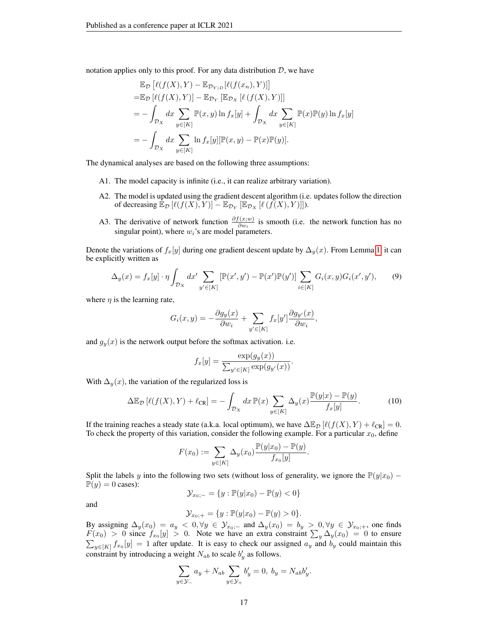notation applies only to this proof. For any data distribution  $D$ , we have

$$
\mathbb{E}_{\mathcal{D}}\left[\ell(f(X), Y) - \mathbb{E}_{\mathcal{D}_{Y|D}}[\ell(f(x_n), Y)]\right]
$$
  
\n
$$
= \mathbb{E}_{\mathcal{D}}\left[\ell(f(X), Y)\right] - \mathbb{E}_{\mathcal{D}_Y}\left[\mathbb{E}_{\mathcal{D}_X}\left[\ell(f(X), Y)\right]\right]
$$
  
\n
$$
= -\int_{\mathcal{D}_X} dx \sum_{y \in [K]} \mathbb{P}(x, y) \ln f_x[y] + \int_{\mathcal{D}_X} dx \sum_{y \in [K]} \mathbb{P}(x) \mathbb{P}(y) \ln f_x[y]
$$
  
\n
$$
= -\int_{\mathcal{D}_X} dx \sum_{y \in [K]} \ln f_x[y] [\mathbb{P}(x, y) - \mathbb{P}(x) \mathbb{P}(y)].
$$

The dynamical analyses are based on the following three assumptions:

- A1. The model capacity is infinite (i.e., it can realize arbitrary variation).
- A2. The model is updated using the gradient descent algorithm (i.e. updates follow the direction of decreasing  $\mathbb{E}_{\mathcal{D}}\left[\ell(f(X), Y)\right] - \mathbb{E}_{\mathcal{D}_Y}\left[\mathbb{E}_{\mathcal{D}_X}\left[\ell(f(X), Y)\right]\right].$
- A3. The derivative of network function  $\frac{\partial f(x;w)}{\partial w_i}$  is smooth (i.e. the network function has no singular point), where  $w_i$ 's are model parameters.

Denote the variations of  $f_x[y]$  during one gradient descent update by  $\Delta_y(x)$ . From Lemma [1,](#page-17-0) it can be explicitly written as

$$
\Delta_y(x) = f_x[y] \cdot \eta \int_{\mathcal{D}_X} dx' \sum_{y' \in [K]} \left[ \mathbb{P}(x', y') - \mathbb{P}(x') \mathbb{P}(y') \right] \sum_{i \in [K]} G_i(x, y) G_i(x', y'), \tag{9}
$$

where  $\eta$  is the learning rate,

$$
G_i(x,y) = -\frac{\partial g_y(x)}{\partial w_i} + \sum_{y' \in [K]} f_x[y'] \frac{\partial g_{y'}(x)}{\partial w_i},
$$

and  $g_y(x)$  is the network output before the softmax activation. i.e.

$$
f_x[y] = \frac{\exp(g_y(x))}{\sum_{y' \in [K]} \exp(g_{y'}(x))}.
$$

With  $\Delta_{\nu}(x)$ , the variation of the regularized loss is

$$
\Delta \mathbb{E}_{\mathcal{D}}\left[\ell(f(X),Y) + \ell_{\text{CR}}\right] = -\int_{\mathcal{D}_X} dx \, \mathbb{P}(x) \sum_{y \in [K]} \Delta_y(x) \frac{\mathbb{P}(y|x) - \mathbb{P}(y)}{f_x[y]}.
$$
 (10)

If the training reaches a steady state (a.k.a. local optimum), we have  $\Delta \mathbb{E}_{\mathcal{D}}[\ell(f(X), Y) + \ell_{CR}] = 0$ . To check the property of this variation, consider the following example. For a particular  $x_0$ , define

$$
F(x_0) := \sum_{y \in [K]} \Delta_y(x_0) \frac{\mathbb{P}(y|x_0) - \mathbb{P}(y)}{f_{x_0}[y]}.
$$

Split the labels y into the following two sets (without loss of generality, we ignore the  $\mathbb{P}(y|x_0)$  –  $\mathbb{P}(y) = 0$  cases):

$$
\mathcal{Y}_{x_0; -} = \{ y : \mathbb{P}(y|x_0) - \mathbb{P}(y) < 0 \}
$$

and

$$
\mathcal{Y}_{x_0;+} = \{y : \mathbb{P}(y|x_0) - \mathbb{P}(y) > 0\}.
$$

By assigning  $\Delta_y(x_0) = a_y < 0, \forall y \in \mathcal{Y}_{x_0; -}$  and  $\Delta_y(x_0) = b_y > 0, \forall y \in \mathcal{Y}_{x_0; +}$ , one finds  $F(x_0) > 0$  since  $f_{x_0}[y] > 0$ . Note we have an extra constraint  $\sum_{y} \Delta_y(x_0) = 0$  to ensure  $\sum_{y \in [K]} f_{x_0}[y] = 1$  after update. It is easy to check our assigned  $a_y$  and  $b_y$  could maintain this constraint by introducing a weight  $N_{ab}$  to scale  $b'_y$  as follows.

$$
\sum_{y \in \mathcal{Y}_-} a_y + N_{ab} \sum_{y \in \mathcal{Y}_+} b'_y = 0, \ b_y = N_{ab} b'_y.
$$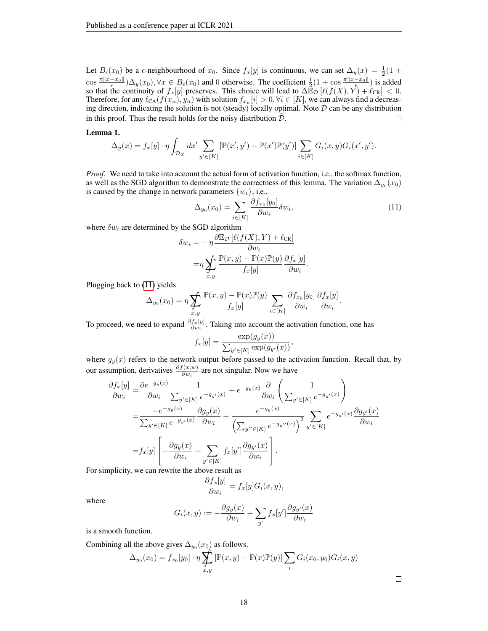Let  $B_{\epsilon}(x_0)$  be a  $\epsilon$ -neighbourhood of  $x_0$ . Since  $f_x[y]$  is continuous, we can set  $\Delta_y(x) = \frac{1}{2}(1 +$  $\cos \frac{\pi ||x-x_0||}{\epsilon}$ ) $\Delta_y(x_0), \forall x \in B_{\epsilon}(x_0)$  and 0 otherwise. The coefficient  $\frac{1}{2}(1 + \cos \frac{\pi ||x-x_0||}{\epsilon})$  is added so that the continuity of  $f_x[y]$  preserves. This choice will lead to  $\Delta \hat{\mathbb{E}}_{\mathcal{D}}[\ell(f(X), Y) + \ell_{CR}] < 0$ . Therefore, for any  $\ell_{CA}(f(x_n), y_n)$  with solution  $f_{x_n}[i] > 0, \forall i \in [K]$ , we can always find a decreasing direction, indicating the solution is not (steady) locally optimal. Note  $D$  can be any distribution in this proof. Thus the result holds for the noisy distribution  $D$ .  $\Box$ 

### <span id="page-17-0"></span>Lemma 1.

$$
\Delta_y(x) = f_x[y] \cdot \eta \int_{\mathcal{D}_X} dx' \sum_{y' \in [K]} [\mathbb{P}(x', y') - \mathbb{P}(x') \mathbb{P}(y')] \sum_{i \in [K]} G_i(x, y) G_i(x', y').
$$

*Proof.* We need to take into account the actual form of activation function, i.e., the softmax function, as well as the SGD algorithm to demonstrate the correctness of this lemma. The variation  $\Delta_{y_0}(x_0)$ is caused by the change in network parameters  $\{w_i\}$ , i.e.,

<span id="page-17-1"></span>
$$
\Delta_{y_0}(x_0) = \sum_{i \in [K]} \frac{\partial f_{x_0}[y_0]}{\partial w_i} \delta w_i,
$$
\n(11)

.

where  $\delta w_i$  are determined by the SGD algorithm

$$
\delta w_i = -\eta \frac{\partial \mathbb{E}_{\mathcal{D}} \left[ \ell(f(X), Y) + \ell_{\text{CR}} \right]}{\partial w_i}
$$

$$
= \eta \sum_{x,y} \frac{\mathbb{P}(x, y) - \mathbb{P}(x)\mathbb{P}(y)}{f_x[y]} \frac{\partial f_x[y]}{\partial w_i}
$$

Plugging back to [\(11\)](#page-17-1) yields

$$
\Delta_{y_0}(x_0) = \eta \sum_{x,y} \frac{\mathbb{P}(x,y) - \mathbb{P}(x)\mathbb{P}(y)}{f_x[y]} \sum_{i \in [K]} \frac{\partial f_{x_0}[y_0]}{\partial w_i} \frac{\partial f_x[y]}{\partial w_i}.
$$

To proceed, we need to expand  $\frac{\partial f_x[y]}{\partial w_i}$ . Taking into account the activation function, one has

$$
f_x[y] = \frac{\exp(g_y(x))}{\sum_{y' \in [K]} \exp(g_{y'}(x))},
$$

where  $g_y(x)$  refers to the network output before passed to the activation function. Recall that, by our assumption, derivatives  $\frac{\partial f(x;w)}{\partial w_i}$  are not singular. Now we have

$$
\frac{\partial f_x[y]}{\partial w_i} = \frac{\partial e^{-g_y(x)}}{\partial w_i} \frac{1}{\sum_{y' \in [K]} e^{-g_{y'}(x)}} + e^{-g_y(x)} \frac{\partial}{\partial w_i} \left( \frac{1}{\sum_{y' \in [K]} e^{-g_{y'}(x)}} \right)
$$
  
\n
$$
= \frac{-e^{-g_y(x)}}{\sum_{y' \in [K]} e^{-g_{y'}(x)}} \frac{\partial g_y(x)}{\partial w_i} + \frac{e^{-g_y(x)}}{\left(\sum_{y'' \in [K]} e^{-g_{y''}(x)}\right)^2} \sum_{y' \in [K]} e^{-g_{y'}(x)} \frac{\partial g_{y'}(x)}{\partial w_i}
$$
  
\n
$$
= f_x[y] \left[ -\frac{\partial g_y(x)}{\partial w_i} + \sum_{y' \in [K]} f_x[y'] \frac{\partial g_{y'}(x)}{\partial w_i} \right].
$$

For simplicity, we can rewrite the above result as

$$
\frac{\partial f_x[y]}{\partial w_i} = f_x[y]G_i(x, y),
$$

where

$$
G_i(x,y) := -\frac{\partial g_y(x)}{\partial w_i} + \sum_{y'} f_x[y'] \frac{\partial g_{y'}(x)}{\partial w_i}
$$

is a smooth function.

Combining all the above gives  $\Delta_{y_0}(x_0)$  as follows.

$$
\Delta_{y_0}(x_0) = f_{x_0}[y_0] \cdot \eta \sum_{x,y} \left[ \mathbb{P}(x,y) - \mathbb{P}(x)\mathbb{P}(y) \right] \sum_i G_i(x_0, y_0) G_i(x,y)
$$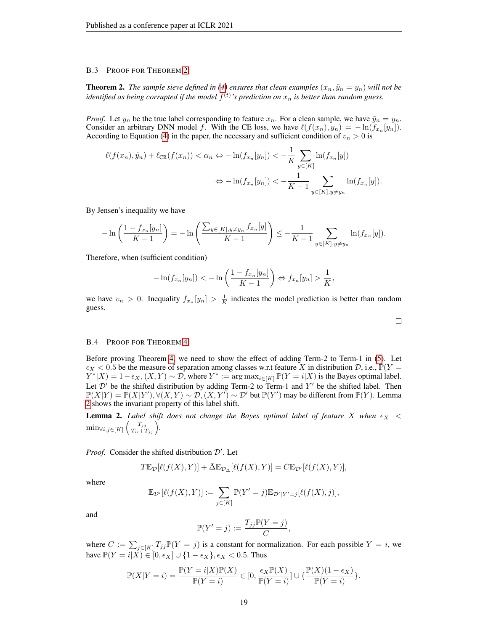#### <span id="page-18-0"></span>B.3 PROOF FOR THEOREM [2](#page-4-1)

**Theorem 2.** *The sample sieve defined in [\(4\)](#page-3-3) ensures that clean examples*  $(x_n, \tilde{y}_n = y_n)$  *will not be* identified as being corrupted if the model  $f^{(t)}$ 's prediction on  $x_n$  is better than random guess.

*Proof.* Let  $y_n$  be the true label corresponding to feature  $x_n$ . For a clean sample, we have  $\tilde{y}_n = y_n$ . Consider an arbitrary DNN model f. With the CE loss, we have  $\ell(f(x_n), y_n) = -\ln(f_{x_n}[y_n]).$ According to Equation [\(4\)](#page-3-3) in the paper, the necessary and sufficient condition of  $v_n > 0$  is

$$
\ell(f(x_n), \tilde{y}_n) + \ell_{CR}(f(x_n)) < \alpha_n \Leftrightarrow -\ln(f_{x_n}[y_n]) < -\frac{1}{K} \sum_{y \in [K]} \ln(f_{x_n}[y])
$$
\n
$$
\Leftrightarrow -\ln(f_{x_n}[y_n]) < -\frac{1}{K-1} \sum_{y \in [K], y \neq y_n} \ln(f_{x_n}[y]).
$$

By Jensen's inequality we have

$$
-\ln\left(\frac{1-f_{x_n}[y_n]}{K-1}\right) = -\ln\left(\frac{\sum_{y\in[K], y\neq y_n} f_{x_n}[y]}{K-1}\right) \le -\frac{1}{K-1} \sum_{y\in[K], y\neq y_n} \ln(f_{x_n}[y]).
$$

Therefore, when (sufficient condition)

$$
-\ln(f_{x_n}[y_n]) < -\ln\left(\frac{1-f_{x_n}[y_n]}{K-1}\right) \Leftrightarrow f_{x_n}[y_n] > \frac{1}{K},
$$

we have  $v_n > 0$ . Inequality  $f_{x_n}[y_n] > \frac{1}{K}$  indicates the model prediction is better than random guess.

# <span id="page-18-1"></span>B.4 PROOF FOR THEOREM [4](#page-5-3)

Before proving Theorem [4,](#page-5-3) we need to show the effect of adding Term-2 to Term-1 in [\(5\)](#page-5-0). Let  $\epsilon_X < 0.5$  be the measure of separation among classes w.r.t feature X in distribution D, i.e.,  $\mathbb{P}(Y = 0.5)$  $Y^*|X) = 1 - \epsilon_X$ ,  $(X, Y) \sim \mathcal{D}$ , where  $Y^* := \arg \max_{i \in [K]} \mathbb{P}(Y = i | X)$  is the Bayes optimal label. Let  $\mathcal{D}'$  be the shifted distribution by adding Term-2 to Term-1 and Y' be the shifted label. Then  $\mathbb{P}(X|Y) = \mathbb{P}(X|Y'), \forall (X,Y) \sim \mathcal{D}, (X,Y') \sim \mathcal{D}'$  but  $\mathbb{P}(Y')$  may be different from  $\mathbb{P}(Y)$ . Lemma [2](#page-18-2) shows the invariant property of this label shift.

<span id="page-18-2"></span>**Lemma 2.** Label shift does not change the Bayes optimal label of feature X when  $\epsilon_X$  <  $\min_{\forall i,j \in [K]} \left( \frac{T_{jj}}{T_{ii}+T_{jj}} \right)$ .

*Proof.* Consider the shifted distribution  $\mathcal{D}'$ . Let

$$
\underline{T}\mathbb{E}_{\mathcal{D}}[\ell(f(X),Y)] + \bar{\Delta}\mathbb{E}_{\mathcal{D}_{\Delta}}[\ell(f(X),Y)] = C\mathbb{E}_{\mathcal{D}'}[\ell(f(X),Y)],
$$

where

$$
\mathbb{E}_{\mathcal{D}'}[\ell(f(X),Y)] := \sum_{j\in[K]} \mathbb{P}(Y'=j)\mathbb{E}_{\mathcal{D}'|Y'=j}[\ell(f(X),j)],
$$

and

$$
\mathbb{P}(Y'=j) := \frac{T_{jj}\mathbb{P}(Y=j)}{C},
$$

where  $C := \sum_{j \in [K]} T_{jj} \mathbb{P}(Y = j)$  is a constant for normalization. For each possible  $Y = i$ , we have  $\mathbb{P}(Y = i | X) \in [0, \epsilon_X] \cup \{1 - \epsilon_X\}, \epsilon_X < 0.5$ . Thus

$$
\mathbb{P}(X|Y=i) = \frac{\mathbb{P}(Y=i|X)\mathbb{P}(X)}{\mathbb{P}(Y=i)} \in [0, \frac{\epsilon_X \mathbb{P}(X)}{\mathbb{P}(Y=i)}] \cup \{\frac{\mathbb{P}(X)(1-\epsilon_X)}{\mathbb{P}(Y=i)}\}.
$$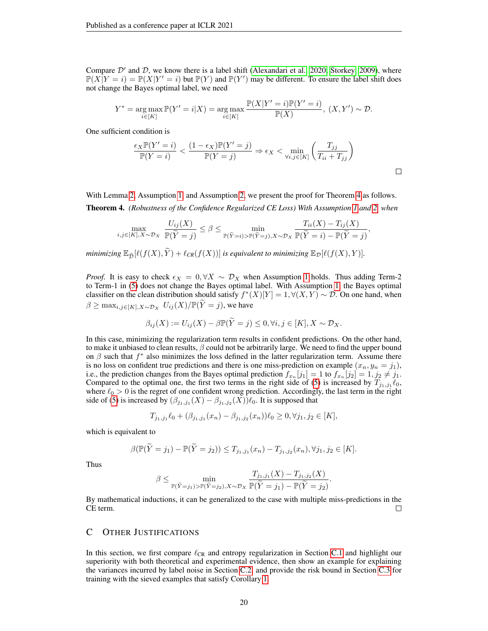Compare  $\mathcal{D}'$  and  $\mathcal{D}$ , we know there is a label shift [\(Alexandari et al., 2020;](#page-9-13) [Storkey, 2009\)](#page-10-17), where  $\mathbb{P}(X|Y = i) = \mathbb{P}(X|Y' = i)$  but  $\mathbb{P}(Y)$  and  $\mathbb{P}(Y')$  may be different. To ensure the label shift does not change the Bayes optimal label, we need

$$
Y^* = \underset{i \in [K]}{\arg \max} \mathbb{P}(Y' = i | X) = \underset{i \in [K]}{\arg \max} \frac{\mathbb{P}(X | Y' = i) \mathbb{P}(Y' = i)}{\mathbb{P}(X)}, (X, Y') \sim \mathcal{D}.
$$

One sufficient condition is

$$
\frac{\epsilon_X \mathbb{P}(Y'=i)}{\mathbb{P}(Y=i)} < \frac{(1-\epsilon_X)\mathbb{P}(Y'=j)}{\mathbb{P}(Y=j)} \Rightarrow \epsilon_X < \min_{\forall i,j \in [K]} \left(\frac{T_{jj}}{T_{ii}+T_{jj}}\right)
$$

With Lemma [2,](#page-18-2) Assumption [1,](#page-5-1) and Assumption [2,](#page-5-2) we present the proof for Theorem [4](#page-5-3) as follows. Theorem 4. *(Robustness of the Confidence Regularized CE Loss) With Assumption [1](#page-5-1) and [2,](#page-5-2) when*

$$
\max_{i,j\in[K],X\sim\mathcal{D}_X} \frac{U_{ij}(X)}{\mathbb{P}(\widetilde{Y}=j)} \leq \beta \leq \min_{\mathbb{P}(\widetilde{Y}=i) > \mathbb{P}(\widetilde{Y}=j), X\sim\mathcal{D}_X} \frac{T_{ii}(X) - T_{ij}(X)}{\mathbb{P}(\widetilde{Y}=i) - \mathbb{P}(\widetilde{Y}=j)},
$$

*minimizing*  $\mathbb{E}_{\tilde{\mathcal{D}}}[\ell(f(X), \tilde{Y}) + \ell_{CR}(f(X))]$  *is equivalent to minimizing*  $\mathbb{E}_{\mathcal{D}}[\ell(f(X), Y)].$ 

*Proof.* It is easy to check  $\epsilon_X = 0$ ,  $\forall X \sim \mathcal{D}_X$  when Assumption [1](#page-5-1) holds. Thus adding Term-2 to Term-1 in [\(5\)](#page-5-0) does not change the Bayes optimal label. With Assumption [1,](#page-5-1) the Bayes optimal classifier on the clean distribution should satisfy  $f^*(X)[Y] = 1, \forall (X, Y) \sim \mathcal{D}$ . On one hand, when  $\beta \geq \max_{i,j \in [K], X \sim \mathcal{D}_X} U_{ij}(X)/\mathbb{P}(\widetilde{Y}=j)$ , we have

$$
\beta_{ij}(X) := U_{ij}(X) - \beta \mathbb{P}(\widetilde{Y} = j) \leq 0, \forall i, j \in [K], X \sim \mathcal{D}_X.
$$

In this case, minimizing the regularization term results in confident predictions. On the other hand, to make it unbiased to clean results,  $\beta$  could not be arbitrarily large. We need to find the upper bound on  $\beta$  such that  $f^*$  also minimizes the loss defined in the latter regularization term. Assume there is no loss on confident true predictions and there is one miss-prediction on example  $(x_n, y_n = j_1)$ , i.e., the prediction changes from the Bayes optimal prediction  $f_{x_n}[j_1] = 1$  to  $f_{x_n}[j_2] = 1, j_2 \neq j_1$ . Compared to the optimal one, the first two terms in the right side of [\(5\)](#page-5-0) is increased by  $T_{j_1,j_1}\ell_0$ , where  $\ell_0 > 0$  is the regret of one confident wrong prediction. Accordingly, the last term in the right side of [\(5\)](#page-5-0) is increased by  $(\beta_{j_1,j_1}(X) - \beta_{j_1,j_2}(X))\ell_0$ . It is supposed that

$$
T_{j_1,j_1}\ell_0 + (\beta_{j_1,j_1}(x_n) - \beta_{j_1,j_2}(x_n))\ell_0 \ge 0, \forall j_1, j_2 \in [K],
$$

which is equivalent to

$$
\beta(\mathbb{P}(\widetilde{Y}=j_1)-\mathbb{P}(\widetilde{Y}=j_2))\leq T_{j_1,j_1}(x_n)-T_{j_1,j_2}(x_n),\forall j_1,j_2\in[K].
$$

Thus

$$
\beta \le \min_{\mathbb{P}(\tilde{Y}=j_1) > \mathbb{P}(\tilde{Y}=j_2), X \sim \mathcal{D}_X} \frac{T_{j_1, j_1}(X) - T_{j_1, j_2}(X)}{\mathbb{P}(\tilde{Y}=j_1) - \mathbb{P}(\tilde{Y}=j_2)}.
$$

By mathematical inductions, it can be generalized to the case with multiple miss-predictions in the CE term.

# <span id="page-19-0"></span>C OTHER JUSTIFICATIONS

In this section, we first compare  $\ell_{CR}$  and entropy regularization in Section [C.1](#page-20-0) and highlight our superiority with both theoretical and experimental evidence, then show an example for explaining the variances incurred by label noise in Section [C.2,](#page-20-1) and provide the risk bound in Section [C.3](#page-21-0) for training with the sieved examples that satisfy Corollary [1.](#page-6-1)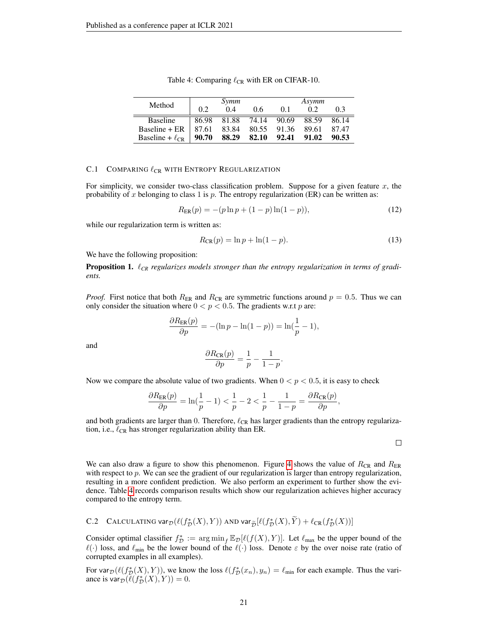<span id="page-20-2"></span>

| Method                 |       | Symm        |                         |       | Asymm |       |
|------------------------|-------|-------------|-------------------------|-------|-------|-------|
|                        | 0.2   | 0.4         | 0.6                     | 01    | 0.2   | 03    |
| <b>Baseline</b>        |       |             | 86.98 81.88 74.14 90.69 |       | 88.59 | 86.14 |
| $Baseline + ER$        |       | 87.61 83.84 | 80.55 91.36 89.61       |       |       | 87.47 |
| Baseline + $\ell_{CR}$ | 90.70 | 88.29 82.10 |                         | 92.41 | 91.02 | 90.53 |

Table 4: Comparing  $\ell_{CR}$  with ER on CIFAR-10.

### <span id="page-20-0"></span>C.1 COMPARING  $\ell_{CR}$  with Entropy Regularization

For simplicity, we consider two-class classification problem. Suppose for a given feature  $x$ , the probability of x belonging to class 1 is  $p$ . The entropy regularization (ER) can be written as:

$$
R_{\text{ER}}(p) = -(p \ln p + (1 - p) \ln(1 - p)),\tag{12}
$$

while our regularization term is written as:

$$
R_{\text{CR}}(p) = \ln p + \ln(1 - p). \tag{13}
$$

We have the following proposition:

**Proposition 1.**  $\ell_{CR}$  regularizes models stronger than the entropy regularization in terms of gradi*ents.*

*Proof.* First notice that both  $R_{ER}$  and  $R_{CR}$  are symmetric functions around  $p = 0.5$ . Thus we can only consider the situation where  $0 < p < 0.5$ . The gradients w.r.t p are:

$$
\frac{\partial R_{\text{ER}}(p)}{\partial p} = -(\ln p - \ln(1-p)) = \ln(\frac{1}{p} - 1),
$$

and

$$
\frac{\partial R_{\text{CR}}(p)}{\partial p} = \frac{1}{p} - \frac{1}{1-p}.
$$

Now we compare the absolute value of two gradients. When  $0 < p < 0.5$ , it is easy to check

$$
\frac{\partial R_{\text{ER}}(p)}{\partial p} = \ln(\frac{1}{p} - 1) < \frac{1}{p} - 2 < \frac{1}{p} - \frac{1}{1 - p} = \frac{\partial R_{\text{CR}}(p)}{\partial p},
$$

and both gradients are larger than 0. Therefore,  $\ell_{CR}$  has larger gradients than the entropy regularization, i.e.,  $\ell_{CR}$  has stronger regularization ability than ER.

 $\Box$ 

We can also draw a figure to show this phenomenon. Figure [4](#page-21-1) shows the value of  $R_{CR}$  and  $R_{ER}$ with respect to  $p$ . We can see the gradient of our regularization is larger than entropy regularization, resulting in a more confident prediction. We also perform an experiment to further show the evidence. Table [4](#page-20-2) records comparison results which show our regularization achieves higher accuracy compared to the entropy term.

<span id="page-20-1"></span>C.2 CALCULATING var<sub>D</sub>
$$
(\ell(f_D^*(X), Y))
$$
 AND var<sub>D</sub> $\tilde{D}[\ell(f_D^*(X), \tilde{Y}) + \ell_{CR}(f_D^*(X))]$ 

Consider optimal classifier  $f^*_{\mathcal{D}} := \arg \min_{f} \mathbb{E}_{\mathcal{D}}[\ell(f(X), Y)]$ . Let  $\ell_{\max}$  be the upper bound of the  $\ell(\cdot)$  loss, and  $\ell_{\min}$  be the lower bound of the  $\ell(\cdot)$  loss. Denote  $\varepsilon$  by the over noise rate (ratio of corrupted examples in all examples).

For var $p(\ell(f_{\mathcal{D}}^*(X), Y))$ , we know the loss  $\ell(f_{\mathcal{D}}^*(x_n), y_n) = \ell_{\min}$  for each example. Thus the variance is  $var_{\mathcal{D}}(\ell(f_{\mathcal{D}}^*(X), Y)) = 0.$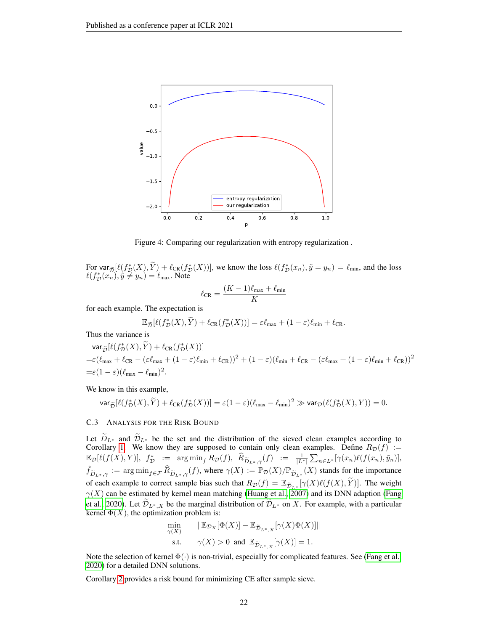<span id="page-21-1"></span>

Figure 4: Comparing our regularization with entropy regularization .

For var $\tilde{p}[\ell(f_D^*(X), \tilde{Y}) + \ell_{CR}(f_D^*(X))]$ , we know the loss  $\ell(f_D^*(x_n), \tilde{y} = y_n) = \ell_{min}$ , and the loss  $\ell(f_P^*(x_n), \tilde{y} = y_n)$ .  $\ell(f_{\mathcal{D}}^*(x_n), \tilde{y} \neq y_n) = \ell_{\max}$ . Note

$$
\ell_{\rm CR} = \frac{(K-1)\ell_{\rm max} + \ell_{\rm min}}{K}
$$

for each example. The expectation is

$$
\mathbb{E}_{\widetilde{\mathcal{D}}}[\ell(f_{\mathcal{D}}^{*}(X), \widetilde{Y}) + \ell_{\mathbb{C}\mathbb{R}}(f_{\mathcal{D}}^{*}(X))] = \varepsilon \ell_{\max} + (1 - \varepsilon)\ell_{\min} + \ell_{\mathbb{C}\mathbb{R}}.
$$

Thus the variance is

$$
\begin{aligned} &\text{var}_{\widetilde{\mathcal{D}}}[\ell(f^*_{\mathcal{D}}(X),\widetilde{Y})+\ell_{\text{CR}}(f^*_{\mathcal{D}}(X))]\\ =&\varepsilon(\ell_{\text{max}}+\ell_{\text{CR}}-(\varepsilon\ell_{\text{max}}+(1-\varepsilon)\ell_{\text{min}}+\ell_{\text{CR}}))^2+(1-\varepsilon)(\ell_{\text{min}}+\ell_{\text{CR}}-(\varepsilon\ell_{\text{max}}+(1-\varepsilon)\ell_{\text{min}}+\ell_{\text{CR}}))^2\\ =&\varepsilon(1-\varepsilon)(\ell_{\text{max}}-\ell_{\text{min}})^2. \end{aligned}
$$

We know in this example,

$$
\text{var}_{\widetilde{\mathcal{D}}}[\ell(f_{\mathcal{D}}^{*}(X), \widetilde{Y}) + \ell_{\text{CR}}(f_{\mathcal{D}}^{*}(X))] = \varepsilon(1-\varepsilon)(\ell_{\max} - \ell_{\min})^{2} \gg \text{var}_{\mathcal{D}}(\ell(f_{\mathcal{D}}^{*}(X), Y)) = 0.
$$

### <span id="page-21-0"></span>C.3 ANALYSIS FOR THE RISK BOUND

Let  $D_{L^*}$  and  $D_{L^*}$  be the set and the distribution of the sieved clean examples according to Corollary [1.](#page-6-1) We know they are supposed to contain only clean examples. Define  $R_D(f) :=$  $\mathbb{E}_{\mathcal{D}}[\ell(f(X), Y)], f^*_{\mathcal{D}} := \argmin_{f} R_{\mathcal{D}}(f), \widehat{R}_{\widetilde{D}_{L^*, \gamma}}(f) := \frac{1}{|L^*|} \sum_{n \in L^*} [\gamma(x_n) \ell(f(x_n), \tilde{y}_n)],$  $\hat{f}_{\widetilde{D}_{L^*},\gamma} := \arg \min_{f \in \mathcal{F}} \widehat{R}_{\widetilde{D}_{L^*},\gamma}(f)$ , where  $\gamma(X) := \mathbb{P}_{\mathcal{D}}(X)/\mathbb{P}_{\widetilde{D}_{L^*}}(X)$  stands for the importance of each example to correct sample bias such that  $R_{\mathcal{D}}(f) = \mathbb{E}_{\widetilde{\mathcal{D}}_{L^*}[\gamma]}(\gamma(X)\ell(f(X), \widetilde{Y}))$ . The weight  $\gamma(X)$  can be estimated by kernel mean matching [\(Huang et al., 2007\)](#page-9-14) and its DNN adaption [\(Fang](#page-9-9) [et al., 2020\)](#page-9-9). Let  $\mathcal{D}_{L^*,X}$  be the marginal distribution of  $\mathcal{D}_{L^*}$  on X. For example, with a particular kernel  $\Phi(X)$ , the optimization problem is:

$$
\min_{\gamma(X)} \qquad \|\mathbb{E}_{\mathcal{D}_X}[\Phi(X)] - \mathbb{E}_{\widetilde{\mathcal{D}}_{L^*,X}}[\gamma(X)\Phi(X)]\|
$$
\ns.t.

\n
$$
\gamma(X) > 0 \quad \text{and} \quad \mathbb{E}_{\widetilde{\mathcal{D}}_{L^*,X}}[\gamma(X)] = 1.
$$

Note the selection of kernel  $\Phi(\cdot)$  is non-trivial, especially for complicated features. See [\(Fang et al.,](#page-9-9) [2020\)](#page-9-9) for a detailed DNN solutions.

Corollary [2](#page-22-1) provides a risk bound for minimizing CE after sample sieve.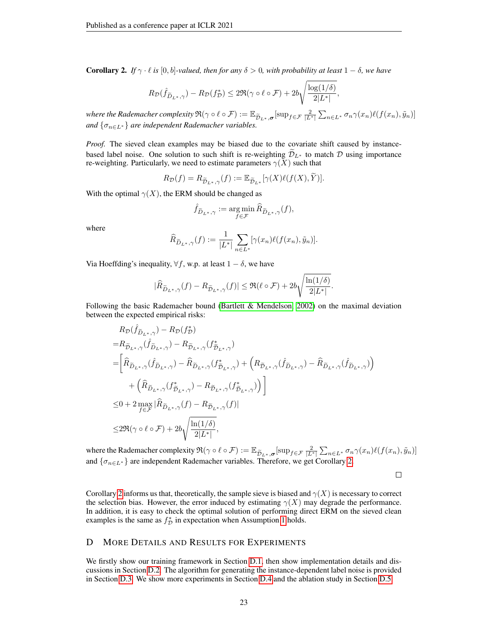<span id="page-22-1"></span>**Corollary 2.** *If*  $\gamma \cdot \ell$  *is* [0, *b*]*-valued, then for any*  $\delta > 0$ *, with probability at least*  $1 - \delta$ *, we have* 

$$
R_{\mathcal{D}}(\hat{f}_{\widetilde{D}_L*,\gamma}) - R_{\mathcal{D}}(f_{\mathcal{D}}^*) \leq 2\Re(\gamma \circ \ell \circ \mathcal{F}) + 2b\sqrt{\frac{\log(1/\delta)}{2|L^*|}},
$$

*where the Rademacher complexity*  $\mathfrak{R}(\gamma \circ \ell \circ \mathcal{F}) := \mathbb{E}_{\widetilde{\mathcal{D}}_{L^*}, \sigma} [\sup_{f \in \mathcal{F}} \frac{2}{|L^*|} \sum_{n \in L^*} \sigma_n \gamma(x_n) \ell(f(x_n), \widetilde{y}_n)]$ *and*  $\{\sigma_{n\in L^*}\}$  *are independent Rademacher variables.* 

*Proof.* The sieved clean examples may be biased due to the covariate shift caused by instancebased label noise. One solution to such shift is re-weighting  $\mathcal{D}_{L^*}$  to match  $\mathcal D$  using importance re-weighting. Particularly, we need to estimate parameters  $\gamma(X)$  such that

$$
R_{\mathcal{D}}(f) = R_{\widetilde{\mathcal{D}}_{L^*}, \gamma}(f) := \mathbb{E}_{\widetilde{\mathcal{D}}_{L^*}}[\gamma(X)\ell(f(X), \widetilde{Y})].
$$

With the optimal  $\gamma(X)$ , the ERM should be changed as

$$
\hat{f}_{\widetilde{D}_{L^*},\gamma}:=\mathop{\arg\min}\limits_{f\in\mathcal{F}}\widehat{R}_{\widetilde{D}_{L^*},\gamma}(f),
$$

where

$$
\widehat{R}_{\widetilde{D}_{L^*,\gamma}}(f) := \frac{1}{|L^*|} \sum_{n \in L^*} [\gamma(x_n) \ell(f(x_n), \tilde{y}_n)].
$$

Via Hoeffding's inequality,  $\forall f$ , w.p. at least  $1 - \delta$ , we have

$$
|\widehat{R}_{\widetilde{D}_{L^*},\gamma}(f)-R_{\widetilde{\mathcal{D}}_{L^*},\gamma}(f)|\leq \Re(\ell\circ\mathcal{F})+2b\sqrt{\frac{\ln(1/\delta)}{2|L^*|}}.
$$

Following the basic Rademacher bound [\(Bartlett & Mendelson, 2002\)](#page-9-15) on the maximal deviation between the expected empirical risks:

$$
\begin{split} &R_{\mathcal{D}}(\hat{f}_{\tilde{D}_{L^*},\gamma})-R_{\mathcal{D}}(f_{\mathcal{D}}^*)\\ =&R_{\tilde{\mathcal{D}}_{L^*},\gamma}(\hat{f}_{\tilde{\mathcal{D}}_{L^*},\gamma})-R_{\tilde{\mathcal{D}}_{L^*},\gamma}(f_{\tilde{\mathcal{D}}_{L^*},\gamma}^*)\\ =&\bigg[\hat{R}_{\tilde{\mathcal{D}}_{L^*},\gamma}(\hat{f}_{\tilde{\mathcal{D}}_{L^*},\gamma})-\hat{R}_{\tilde{\mathcal{D}}_{L^*},\gamma}(f_{\tilde{\mathcal{D}}_{L^*},\gamma}^*)+\left(R_{\tilde{\mathcal{D}}_{L^*},\gamma}(\hat{f}_{\tilde{\mathcal{D}}_{L^*},\gamma})-\hat{R}_{\tilde{\mathcal{D}}_{L^*},\gamma}(\hat{f}_{\tilde{\mathcal{D}}_{L^*},\gamma})\right)\\ &+\left(\hat{R}_{\tilde{\mathcal{D}}_{L^*},\gamma}(f_{\tilde{\mathcal{D}}_{L^*},\gamma}^*)-R_{\tilde{\mathcal{D}}_{L^*},\gamma}(f_{\tilde{\mathcal{D}}_{L^*},\gamma}^*)\right)\bigg]\\ \leq&0+2\max_{f\in\mathcal{F}}|\hat{R}_{\tilde{\mathcal{D}}_{L^*},\gamma}(f)-R_{\tilde{\mathcal{D}}_{L^*},\gamma}(f)|\\ \leq&2\Re(\gamma\circ\ell\circ\mathcal{F})+2b\sqrt{\frac{\ln(1/\delta)}{2|L^*|}}, \end{split}
$$

where the Rademacher complexity  $\Re(\gamma \circ \ell \circ \mathcal{F}) := \mathbb{E}_{\widetilde{\mathcal{D}}_{L^*}, \sigma}[\sup_{f \in \mathcal{F}} \frac{2}{|L^*|} \sum_{n \in L^*} \sigma_n \gamma(x_n) \ell(f(x_n), \widetilde{y}_n)]$ and  $\{\sigma_{n\in L^*}\}\$ are independent Rademacher variables. Therefore, we get Corollary [2.](#page-22-1)

 $\Box$ 

Corollary [2](#page-22-1) informs us that, theoretically, the sample sieve is biased and  $\gamma(X)$  is necessary to correct the selection bias. However, the error induced by estimating  $\gamma(X)$  may degrade the performance. In addition, it is easy to check the optimal solution of performing direct ERM on the sieved clean examples is the same as  $f^*_{\mathcal{D}}$  in expectation when Assumption [1](#page-5-1) holds.

### <span id="page-22-0"></span>D MORE DETAILS AND RESULTS FOR EXPERIMENTS

We firstly show our training framework in Section [D.1,](#page-23-0) then show implementation details and discussions in Section [D.2.](#page-23-1) The algorithm for generating the instance-dependent label noise is provided in Section [D.3.](#page-24-0) We show more experiments in Section [D.4](#page-25-0) and the ablation study in Section [D.5.](#page-25-1)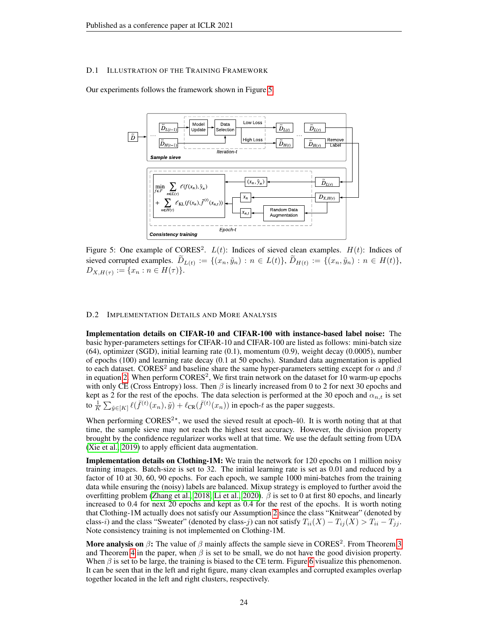### <span id="page-23-0"></span>D.1 ILLUSTRATION OF THE TRAINING FRAMEWORK

<span id="page-23-2"></span>Our experiments follows the framework shown in Figure [5.](#page-23-2)



Figure 5: One example of CORES<sup>2</sup>.  $L(t)$ : Indices of sieved clean examples.  $H(t)$ : Indices of sieved corrupted examples.  $D_{L(t)} := \{(x_n, \tilde{y}_n) : n \in L(t)\}, D_{H(t)} := \{(x_n, \tilde{y}_n) : n \in H(t)\},$  $D_{X,H(\tau)} := \{x_n : n \in H(\tau)\}.$ 

#### <span id="page-23-1"></span>D.2 IMPLEMENTATION DETAILS AND MORE ANALYSIS

Implementation details on CIFAR-10 and CIFAR-100 with instance-based label noise: The basic hyper-parameters settings for CIFAR-10 and CIFAR-100 are listed as follows: mini-batch size (64), optimizer (SGD), initial learning rate (0.1), momentum (0.9), weight decay (0.0005), number of epochs (100) and learning rate decay (0.1 at 50 epochs). Standard data augmentation is applied to each dataset. CORES<sup>2</sup> and baseline share the same hyper-parameters setting except for  $\alpha$  and  $\beta$ in equation [2.](#page-3-0) When perform  $\text{CORES}^2$ , We first train network on the dataset for 10 warm-up epochs with only CE (Cross Entropy) loss. Then  $\beta$  is linearly increased from 0 to 2 for next 30 epochs and kept as 2 for the rest of the epochs. The data selection is performed at the 30 epoch and  $\alpha_{n,t}$  is set to  $\frac{1}{K} \sum_{\tilde{y} \in [K]} \ell(\bar{f}^{(t)}(x_n), \tilde{y}) + \ell_{CR}(\bar{f}^{(t)}(x_n))$  in epoch-t as the paper suggests.

When performing  $CORES<sup>2*</sup>$ , we used the sieved result at epoch-40. It is worth noting that at that time, the sample sieve may not reach the highest test accuracy. However, the division property brought by the confidence regularizer works well at that time. We use the default setting from UDA [\(Xie et al., 2019\)](#page-11-14) to apply efficient data augmentation.

Implementation details on Clothing-1M: We train the network for 120 epochs on 1 million noisy training images. Batch-size is set to 32. The initial learning rate is set as 0.01 and reduced by a factor of 10 at 30, 60, 90 epochs. For each epoch, we sample 1000 mini-batches from the training data while ensuring the (noisy) labels are balanced. Mixup strategy is employed to further avoid the overfitting problem [\(Zhang et al., 2018;](#page-11-15) [Li et al., 2020\)](#page-10-7).  $\beta$  is set to 0 at first 80 epochs, and linearly increased to 0.4 for next 20 epochs and kept as 0.4 for the rest of the epochs. It is worth noting that Clothing-1M actually does not satisfy our Assumption [2](#page-5-2) since the class "Knitwear" (denoted by class-i) and the class "Sweater" (denoted by class-j) can not satisfy  $T_{ii}(X) - T_{ij}(X) > T_{ii} - T_{jj}$ . Note consistency training is not implemented on Clothing-1M.

More analysis on  $\beta$ : The value of  $\beta$  mainly affects the sample sieve in CORES<sup>2</sup>. From Theorem [3](#page-4-2) and Theorem [4](#page-5-3) in the paper, when  $\beta$  is set to be small, we do not have the good division property. When  $\beta$  is set to be large, the training is biased to the CE term. Figure [6](#page-24-1) visualize this phenomenon. It can be seen that in the left and right figure, many clean examples and corrupted examples overlap together located in the left and right clusters, respectively.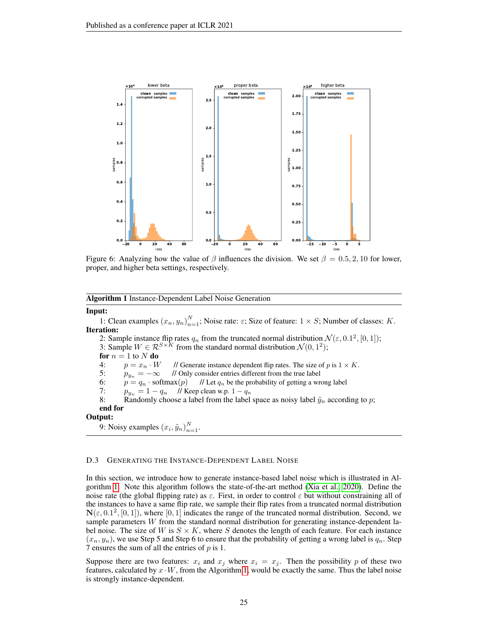<span id="page-24-1"></span>

Figure 6: Analyzing how the value of  $\beta$  influences the division. We set  $\beta = 0.5, 2, 10$  for lower, proper, and higher beta settings, respectively.

<span id="page-24-2"></span>Algorithm 1 Instance-Dependent Label Noise Generation

### Input:

1: Clean examples  $(x_n, y_n)_{n=1}^N$ ; Noise rate:  $\varepsilon$ ; Size of feature:  $1 \times S$ ; Number of classes: K. Iteration:

2: Sample instance flip rates  $q_n$  from the truncated normal distribution  $\mathcal{N}(\varepsilon, 0.1^2, [0, 1])$ ;

3: Sample  $W \in \mathcal{R}^{S \times K}$  from the standard normal distribution  $\mathcal{N}(0, 1^2)$ ;

for  $n = 1$  to N do

4:  $p = x_n \cdot W$  // Generate instance dependent flip rates. The size of p is  $1 \times K$ .<br>5:  $p_{n_k} = -\infty$  // Only consider entries different from the true label

5:  $p_{y_n} = -\infty$  // Only consider entries different from the true label<br>6:  $p = q_n \cdot \text{softmax}(p)$  // Let  $q_n$  be the probability of getting a wr

 $p = q_n \cdot \text{softmax}(p)$  // Let  $q_n$  be the probability of getting a wrong label

7:  $p_{y_n} = 1 - q_n$  // Keep clean w.p.  $1 - q_n$ <br>8: Randomly choose a label from the label

Randomly choose a label from the label space as noisy label  $\tilde{y}_n$  according to p; end for

# Output:

9: Noisy examples  $(x_i, \tilde{y}_n)_{n=1}^N$ .

### <span id="page-24-0"></span>D.3 GENERATING THE INSTANCE-DEPENDENT LABEL NOISE

In this section, we introduce how to generate instance-based label noise which is illustrated in Algorithm [1.](#page-24-2) Note this algorithm follows the state-of-the-art method [\(Xia et al., 2020\)](#page-11-0). Define the noise rate (the global flipping rate) as  $\varepsilon$ . First, in order to control  $\varepsilon$  but without constraining all of the instances to have a same flip rate, we sample their flip rates from a truncated normal distribution  $\mathbf{N}(\varepsilon, 0.1^2, [0, 1])$ , where  $[0, 1]$  indicates the range of the truncated normal distribution. Second, we sample parameters W from the standard normal distribution for generating instance-dependent label noise. The size of W is  $S \times K$ , where S denotes the length of each feature. For each instance  $(x_n, y_n)$ , we use Step 5 and Step 6 to ensure that the probability of getting a wrong label is  $q_n$ . Step 7 ensures the sum of all the entries of p is 1.

Suppose there are two features:  $x_i$  and  $x_j$  where  $x_i = x_j$ . Then the possibility p of these two features, calculated by  $x \cdot W$ , from the Algorithm [1,](#page-24-2) would be exactly the same. Thus the label noise is strongly instance-dependent.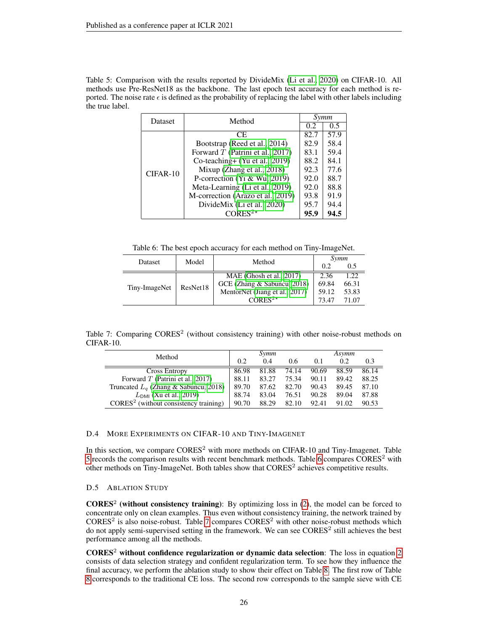<span id="page-25-2"></span>Table 5: Comparison with the results reported by DivideMix [\(Li et al., 2020\)](#page-10-7) on CIFAR-10. All methods use Pre-ResNet18 as the backbone. The last epoch test accuracy for each method is reported. The noise rate  $\epsilon$  is defined as the probability of replacing the label with other labels including the true label.

| Dataset    | Method                             |      | Symm          |
|------------|------------------------------------|------|---------------|
|            |                                    | 0.2  | $0.5^{\circ}$ |
|            | CE.                                | 82.7 | 57.9          |
|            | Bootstrap (Reed et al., 2014)      | 82.9 | 58.4          |
|            | Forward $T$ (Patrini et al., 2017) | 83.1 | 59.4          |
|            | Co-teaching + $(Yu et al., 2019)$  | 88.2 | 84.1          |
| $CIFAR-10$ | Mixup (Zhang et al., 2018)         | 92.3 | 77.6          |
|            | P-correction (Yi & Wu, 2019)       | 92.0 | 88.7          |
|            | Meta-Learning (Li et al., 2019)    | 92.0 | 88.8          |
|            | M-correction (Arazo et al., 2019)  | 93.8 | 91.9          |
|            | DivideMix (Li et al., 2020)        | 95.7 | 94.4          |
|            | $CORES2*$                          | 95.9 | 94.5          |

Table 6: The best epoch accuracy for each method on Tiny-ImageNet.

<span id="page-25-3"></span>

| Model<br>Dataset |          | Method                               | Symm  |       |  |
|------------------|----------|--------------------------------------|-------|-------|--|
|                  |          |                                      | 0.2   | 0.5   |  |
| Tiny-ImageNet    |          | MAE (Ghosh et al., $2017$ )          | 2.36  | 1.22. |  |
|                  | ResNet18 | GCE (Zhang & Sabuncu, 2018)          | 69.84 | 66.31 |  |
|                  |          | MentorNet (Jiang et al., 2017)       | 59.12 | 53.83 |  |
|                  |          | CORES <sup>2<math>\star</math></sup> | 73 47 | 71.07 |  |

<span id="page-25-4"></span>Table 7: Comparing CORES<sup>2</sup> (without consistency training) with other noise-robust methods on CIFAR-10.

| Method                                  |       | Symm  |       | Asymm |       |       |  |
|-----------------------------------------|-------|-------|-------|-------|-------|-------|--|
|                                         | 0.2   | 0.4   | 0.6   | 0.1   | 0.2   | 0.3   |  |
| <b>Cross Entropy</b>                    | 86.98 | 81.88 | 74.14 | 90.69 | 88.59 | 86.14 |  |
| Forward $T$ (Patrini et al., 2017)      | 88.11 | 83.27 | 75.34 | 90.11 | 89.42 | 88.25 |  |
| Truncated $L_q$ (Zhang & Sabuncu, 2018) | 89.70 | 87.62 | 82.70 | 90.43 | 89.45 | 87.10 |  |
| $L_{DMI}$ (Xu et al., 2019)             | 88.74 | 83.04 | 76.51 | 90.28 | 89.04 | 87.88 |  |
| $CORES2$ (without consistency training) | 90.70 | 88.29 | 82.10 | 92.41 | 91.02 | 90.53 |  |

# <span id="page-25-0"></span>D.4 MORE EXPERIMENTS ON CIFAR-10 AND TINY-IMAGENET

In this section, we compare  $CORES<sup>2</sup>$  with more methods on CIFAR-10 and Tiny-Imagenet. Table [5](#page-25-2) records the comparison results with recent benchmark methods. Table [6](#page-25-3) compares CORES<sup>2</sup> with other methods on Tiny-ImageNet. Both tables show that  $\text{CORES}^2$  achieves competitive results.

### <span id="page-25-1"></span>D.5 ABLATION STUDY

 $\text{CORES}^2$  (without consistency training): By optimizing loss in [\(2\)](#page-3-0), the model can be forced to concentrate only on clean examples. Thus even without consistency training, the network trained by  $CORES<sup>2</sup>$  is also noise-robust. Table [7](#page-25-4) compares  $CORES<sup>2</sup>$  with other noise-robust methods which do not apply semi-supervised setting in the framework. We can see CORES<sup>2</sup> still achieves the best performance among all the methods.

 $CORES<sup>2</sup>$  without confidence regularization or dynamic data selection: The loss in equation [2](#page-3-0) consists of data selection strategy and confident regularization term. To see how they influence the final accuracy, we perform the ablation study to show their effect on Table [8.](#page-26-0) The first row of Table [8](#page-26-0) corresponds to the traditional CE loss. The second row corresponds to the sample sieve with CE